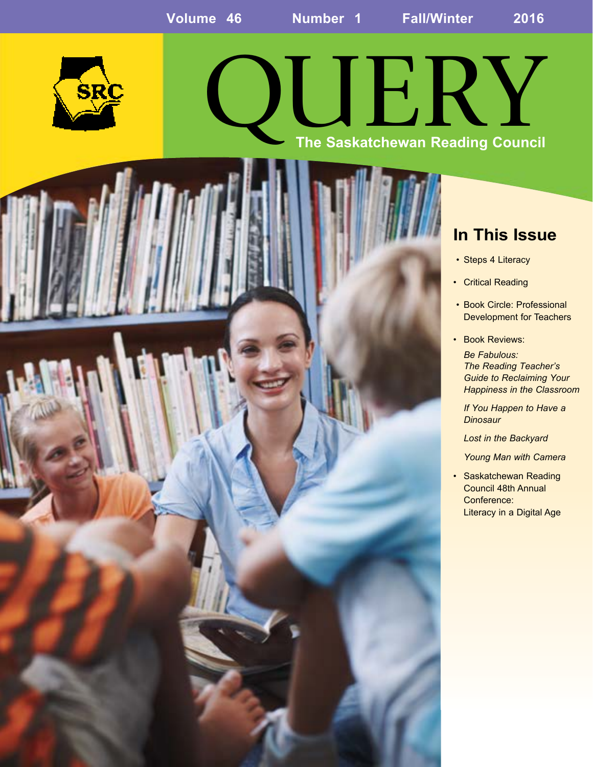

# QUERY **The Saskatchewan Reading Council**



### **In This Issue**

- Steps 4 Literacy
- Critical Reading
- Book Circle: Professional Development for Teachers
- Book Reviews:

*Be Fabulous: The Reading Teacher's Guide to Reclaiming Your Happiness in the Classroom*

*If You Happen to Have a Dinosaur* 

*Lost in the Backyard* 

*Young Man with Camera*

• Saskatchewan Reading Council 48th Annual Conference: Literacy in a Digital Age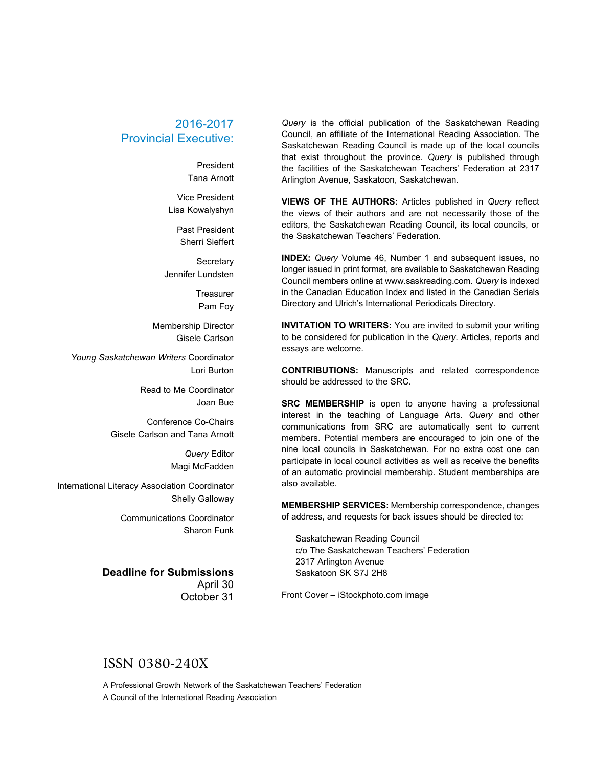#### 2016-2017 Provincial Executive:

President Tana Arnott

Vice President Lisa Kowalyshyn

> Past President Sherri Sieffert

**Secretary** Jennifer Lundsten

> **Treasurer** Pam Foy

Membership Director Gisele Carlson

*Young Saskatchewan Writers* Coordinator Lori Burton

> Read to Me Coordinator Joan Bue

Conference Co-Chairs Gisele Carlson and Tana Arnott

> *Query* Editor Magi McFadden

International Literacy Association Coordinator Shelly Galloway

> Communications Coordinator Sharon Funk

#### **Deadline for Submissions**

April 30 October 31

*Query* is the official publication of the Saskatchewan Reading Council, an affiliate of the International Reading Association. The Saskatchewan Reading Council is made up of the local councils that exist throughout the province. *Query* is published through the facilities of the Saskatchewan Teachers' Federation at 2317 Arlington Avenue, Saskatoon, Saskatchewan.

**VIEWS OF THE AUTHORS:** Articles published in *Query* reflect the views of their authors and are not necessarily those of the editors, the Saskatchewan Reading Council, its local councils, or the Saskatchewan Teachers' Federation.

**INDEX:** *Query* Volume 46, Number 1 and subsequent issues, no longer issued in print format, are available to Saskatchewan Reading Council members online at www.saskreading.com. *Query* is indexed in the Canadian Education Index and listed in the Canadian Serials Directory and Ulrich's International Periodicals Directory.

**INVITATION TO WRITERS:** You are invited to submit your writing to be considered for publication in the *Query*. Articles, reports and essays are welcome.

**CONTRIBUTIONS:** Manuscripts and related correspondence should be addressed to the SRC.

**SRC MEMBERSHIP** is open to anyone having a professional interest in the teaching of Language Arts. *Query* and other communications from SRC are automatically sent to current members. Potential members are encouraged to join one of the nine local councils in Saskatchewan. For no extra cost one can participate in local council activities as well as receive the benefits of an automatic provincial membership. Student memberships are also available.

**MEMBERSHIP SERVICES:** Membership correspondence, changes of address, and requests for back issues should be directed to:

Saskatchewan Reading Council c/o The Saskatchewan Teachers' Federation 2317 Arlington Avenue Saskatoon SK S7J 2H8

Front Cover – iStockphoto.com image

#### ISSN 0380-240X

A Professional Growth Network of the Saskatchewan Teachers' Federation A Council of the International Reading Association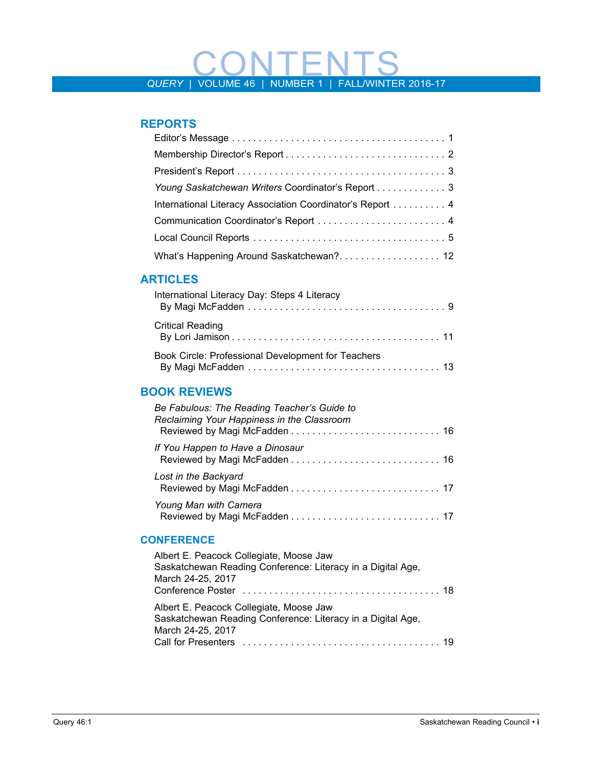# *QUERY* | VOLUME 46 | NUMBER 1 | FALL/WINTER 2016-17

#### **REPORTS**

| Young Saskatchewan Writers Coordinator's Report 3         |
|-----------------------------------------------------------|
| International Literacy Association Coordinator's Report 4 |
| Communication Coordinator's Report  4                     |
|                                                           |
|                                                           |

#### **ARTICLES**

| International Literacy Day: Steps 4 Literacy       |
|----------------------------------------------------|
| <b>Critical Reading</b>                            |
| Book Circle: Professional Development for Teachers |

#### **BOOK REVIEWS**

| Be Fabulous: The Reading Teacher's Guide to<br>Reclaiming Your Happiness in the Classroom |  |
|-------------------------------------------------------------------------------------------|--|
| If You Happen to Have a Dinosaur                                                          |  |
| Lost in the Backyard                                                                      |  |
| Young Man with Camera                                                                     |  |

#### **CONFERENCE**

| Albert E. Peacock Collegiate, Moose Jaw<br>Saskatchewan Reading Conference: Literacy in a Digital Age,<br>March 24-25, 2017 |  |
|-----------------------------------------------------------------------------------------------------------------------------|--|
| Albert E. Peacock Collegiate, Moose Jaw<br>Saskatchewan Reading Conference: Literacy in a Digital Age,<br>March 24-25, 2017 |  |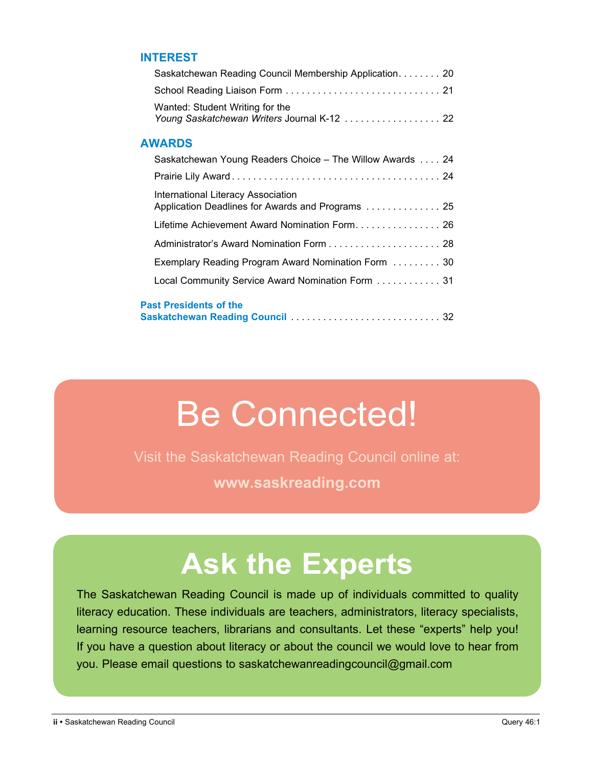#### **INTEREST**

| Saskatchewan Reading Council Membership Application 20                                  |  |
|-----------------------------------------------------------------------------------------|--|
|                                                                                         |  |
| Wanted: Student Writing for the<br>Young Saskatchewan Writers Journal K-12 22           |  |
| <b>AWARDS</b>                                                                           |  |
| Saskatchewan Young Readers Choice – The Willow Awards  24                               |  |
|                                                                                         |  |
| International Literacy Association<br>Application Deadlines for Awards and Programs  25 |  |
| Lifetime Achievement Award Nomination Form 26                                           |  |
|                                                                                         |  |
| Exemplary Reading Program Award Nomination Form  30                                     |  |
| Local Community Service Award Nomination Form 31                                        |  |
| <b>Past Presidents of the</b>                                                           |  |

# Be Connected!

Visit the Saskatchewan Reading Council online at: **www.saskreading.com**

# **Ask the Experts**

The Saskatchewan Reading Council is made up of individuals committed to quality literacy education. These individuals are teachers, administrators, literacy specialists, learning resource teachers, librarians and consultants. Let these "experts" help you! If you have a question about literacy or about the council we would love to hear from you. Please email questions to saskatchewanreadingcouncil@gmail.com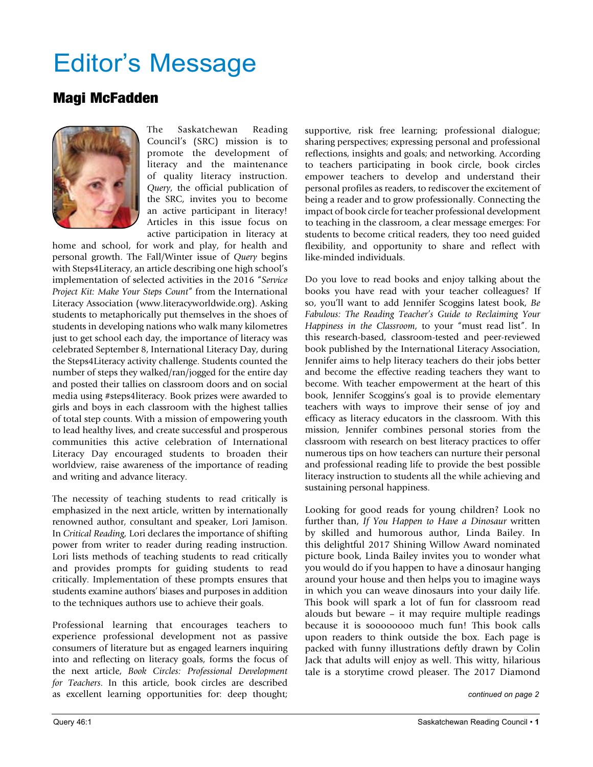# Editor's Message

#### Magi McFadden



The Saskatchewan Reading Council's (SRC) mission is to promote the development of literacy and the maintenance of quality literacy instruction. *Query*, the official publication of the SRC, invites you to become an active participant in literacy! Articles in this issue focus on active participation in literacy at

home and school, for work and play, for health and personal growth. The Fall/Winter issue of *Query* begins with Steps4Literacy, an article describing one high school's implementation of selected activities in the 2016 "*Service Project Kit: Make Your Steps Count*" from the International Literacy Association (www.literacyworldwide.org). Asking students to metaphorically put themselves in the shoes of students in developing nations who walk many kilometres just to get school each day, the importance of literacy was celebrated September 8, International Literacy Day, during the Steps4Literacy activity challenge. Students counted the number of steps they walked/ran/jogged for the entire day and posted their tallies on classroom doors and on social media using #steps4literacy. Book prizes were awarded to girls and boys in each classroom with the highest tallies of total step counts. With a mission of empowering youth to lead healthy lives, and create successful and prosperous communities this active celebration of International Literacy Day encouraged students to broaden their worldview, raise awareness of the importance of reading and writing and advance literacy.

The necessity of teaching students to read critically is emphasized in the next article, written by internationally renowned author, consultant and speaker, Lori Jamison. In *Critical Reading,* Lori declares the importance of shifting power from writer to reader during reading instruction. Lori lists methods of teaching students to read critically and provides prompts for guiding students to read critically. Implementation of these prompts ensures that students examine authors' biases and purposes in addition to the techniques authors use to achieve their goals.

Professional learning that encourages teachers to experience professional development not as passive consumers of literature but as engaged learners inquiring into and reflecting on literacy goals, forms the focus of the next article, *Book Circles: Professional Development for Teachers*. In this article, book circles are described as excellent learning opportunities for: deep thought;

supportive, risk free learning; professional dialogue; sharing perspectives; expressing personal and professional reflections, insights and goals; and networking. According to teachers participating in book circle, book circles empower teachers to develop and understand their personal profiles as readers, to rediscover the excitement of being a reader and to grow professionally. Connecting the impact of book circle for teacher professional development to teaching in the classroom, a clear message emerges: For students to become critical readers, they too need guided flexibility, and opportunity to share and reflect with like-minded individuals.

Do you love to read books and enjoy talking about the books you have read with your teacher colleagues? If so, you'll want to add Jennifer Scoggins latest book, *Be Fabulous: The Reading Teacher's Guide to Reclaiming Your Happiness in the Classroom*, to your "must read list". In this research-based, classroom-tested and peer-reviewed book published by the International Literacy Association, Jennifer aims to help literacy teachers do their jobs better and become the effective reading teachers they want to become. With teacher empowerment at the heart of this book, Jennifer Scoggins's goal is to provide elementary teachers with ways to improve their sense of joy and efficacy as literacy educators in the classroom. With this mission, Jennifer combines personal stories from the classroom with research on best literacy practices to offer numerous tips on how teachers can nurture their personal and professional reading life to provide the best possible literacy instruction to students all the while achieving and sustaining personal happiness.

Looking for good reads for young children? Look no further than, *If You Happen to Have a Dinosaur* written by skilled and humorous author, Linda Bailey. In this delightful 2017 Shining Willow Award nominated picture book, Linda Bailey invites you to wonder what you would do if you happen to have a dinosaur hanging around your house and then helps you to imagine ways in which you can weave dinosaurs into your daily life. This book will spark a lot of fun for classroom read alouds but beware – it may require multiple readings because it is soooooooo much fun! This book calls upon readers to think outside the box. Each page is packed with funny illustrations deftly drawn by Colin Jack that adults will enjoy as well. This witty, hilarious tale is a storytime crowd pleaser. The 2017 Diamond

*continued on page 2*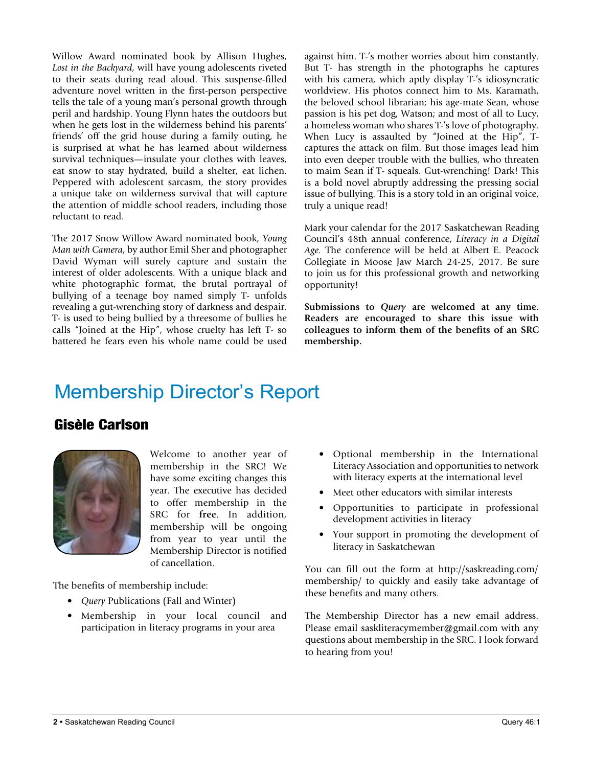Willow Award nominated book by Allison Hughes, *Lost in the Backyard*, will have young adolescents riveted to their seats during read aloud. This suspense-filled adventure novel written in the first-person perspective tells the tale of a young man's personal growth through peril and hardship. Young Flynn hates the outdoors but when he gets lost in the wilderness behind his parents' friends' off the grid house during a family outing, he is surprised at what he has learned about wilderness survival techniques—insulate your clothes with leaves, eat snow to stay hydrated, build a shelter, eat lichen. Peppered with adolescent sarcasm, the story provides a unique take on wilderness survival that will capture the attention of middle school readers, including those reluctant to read.

The 2017 Snow Willow Award nominated book, *Young Man with Camera*, by author Emil Sher and photographer David Wyman will surely capture and sustain the interest of older adolescents. With a unique black and white photographic format, the brutal portrayal of bullying of a teenage boy named simply T- unfolds revealing a gut-wrenching story of darkness and despair. T- is used to being bullied by a threesome of bullies he calls "Joined at the Hip", whose cruelty has left T- so battered he fears even his whole name could be used against him. T-'s mother worries about him constantly. But T- has strength in the photographs he captures with his camera, which aptly display T-'s idiosyncratic worldview. His photos connect him to Ms. Karamath, the beloved school librarian; his age-mate Sean, whose passion is his pet dog, Watson; and most of all to Lucy, a homeless woman who shares T-'s love of photography. When Lucy is assaulted by "Joined at the Hip", Tcaptures the attack on film. But those images lead him into even deeper trouble with the bullies, who threaten to maim Sean if T- squeals. Gut-wrenching! Dark! This is a bold novel abruptly addressing the pressing social issue of bullying. This is a story told in an original voice, truly a unique read!

Mark your calendar for the 2017 Saskatchewan Reading Council's 48th annual conference, *Literacy in a Digital Age.* The conference will be held at Albert E. Peacock Collegiate in Moose Jaw March 24-25, 2017. Be sure to join us for this professional growth and networking opportunity!

**Submissions to** *Query* **are welcomed at any time. Readers are encouraged to share this issue with colleagues to inform them of the benefits of an SRC membership.**

## Membership Director's Report

#### Gisèle Carlson



Welcome to another year of membership in the SRC! We have some exciting changes this year. The executive has decided to offer membership in the SRC for **free**. In addition, membership will be ongoing from year to year until the Membership Director is notified of cancellation.

The benefits of membership include:

- *Query* Publications (Fall and Winter)
- Membership in your local council and participation in literacy programs in your area
- Optional membership in the International Literacy Association and opportunities to network with literacy experts at the international level
- Meet other educators with similar interests
- Opportunities to participate in professional development activities in literacy
- Your support in promoting the development of literacy in Saskatchewan

You can fill out the form at http://saskreading.com/ membership/ to quickly and easily take advantage of these benefits and many others.

The Membership Director has a new email address. Please email saskliteracymember@gmail.com with any questions about membership in the SRC. I look forward to hearing from you!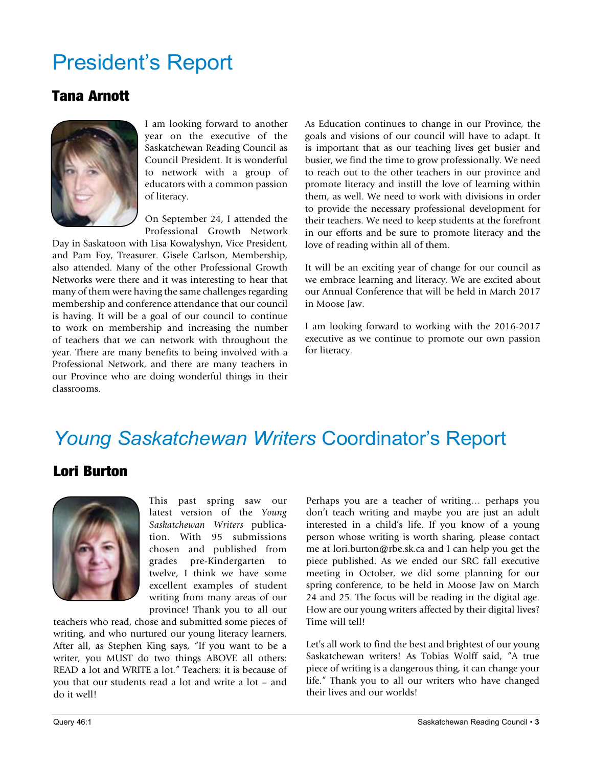# President's Report

### Tana Arnott



I am looking forward to another year on the executive of the Saskatchewan Reading Council as Council President. It is wonderful to network with a group of educators with a common passion of literacy.

On September 24, I attended the Professional Growth Network

Day in Saskatoon with Lisa Kowalyshyn, Vice President, and Pam Foy, Treasurer. Gisele Carlson, Membership, also attended. Many of the other Professional Growth Networks were there and it was interesting to hear that many of them were having the same challenges regarding membership and conference attendance that our council is having. It will be a goal of our council to continue to work on membership and increasing the number of teachers that we can network with throughout the year. There are many benefits to being involved with a Professional Network, and there are many teachers in our Province who are doing wonderful things in their classrooms.

As Education continues to change in our Province, the goals and visions of our council will have to adapt. It is important that as our teaching lives get busier and busier, we find the time to grow professionally. We need to reach out to the other teachers in our province and promote literacy and instill the love of learning within them, as well. We need to work with divisions in order to provide the necessary professional development for their teachers. We need to keep students at the forefront in our efforts and be sure to promote literacy and the love of reading within all of them.

It will be an exciting year of change for our council as we embrace learning and literacy. We are excited about our Annual Conference that will be held in March 2017 in Moose Jaw.

I am looking forward to working with the 2016-2017 executive as we continue to promote our own passion for literacy.

# *Young Saskatchewan Writers* Coordinator's Report

#### Lori Burton



This past spring saw our latest version of the *Young Saskatchewan Writers* publication. With 95 submissions chosen and published from grades pre-Kindergarten to twelve, I think we have some excellent examples of student writing from many areas of our province! Thank you to all our

teachers who read, chose and submitted some pieces of writing, and who nurtured our young literacy learners. After all, as Stephen King says, "If you want to be a writer, you MUST do two things ABOVE all others: READ a lot and WRITE a lot." Teachers: it is because of you that our students read a lot and write a lot – and do it well!

Perhaps you are a teacher of writing… perhaps you don't teach writing and maybe you are just an adult interested in a child's life. If you know of a young person whose writing is worth sharing, please contact me at lori.burton@rbe.sk.ca and I can help you get the piece published. As we ended our SRC fall executive meeting in October, we did some planning for our spring conference, to be held in Moose Jaw on March 24 and 25. The focus will be reading in the digital age. How are our young writers affected by their digital lives? Time will tell!

Let's all work to find the best and brightest of our young Saskatchewan writers! As Tobias Wolff said, "A true piece of writing is a dangerous thing, it can change your life." Thank you to all our writers who have changed their lives and our worlds!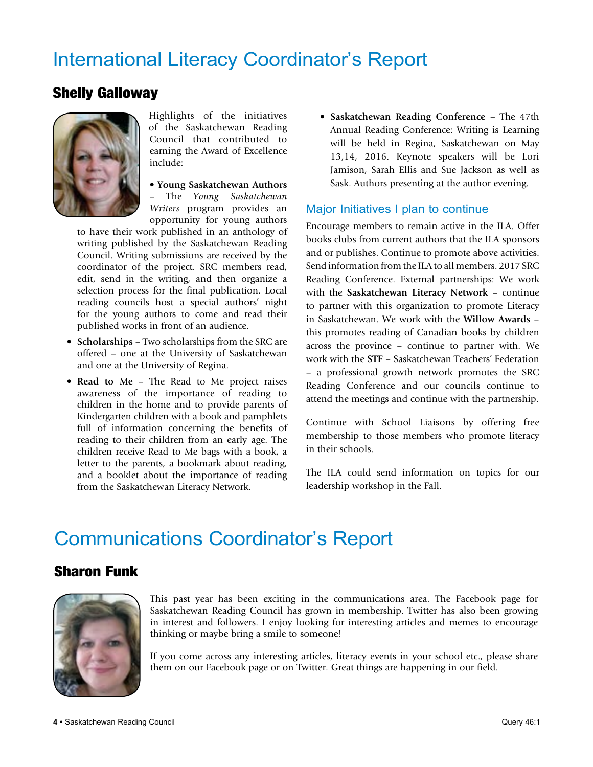# International Literacy Coordinator's Report

#### Shelly Galloway



Highlights of the initiatives of the Saskatchewan Reading Council that contributed to earning the Award of Excellence include:

• **Young Saskatchewan Authors**  – The *Young Saskatchewan Writers* program provides an opportunity for young authors

to have their work published in an anthology of writing published by the Saskatchewan Reading Council. Writing submissions are received by the coordinator of the project. SRC members read, edit, send in the writing, and then organize a selection process for the final publication. Local reading councils host a special authors' night for the young authors to come and read their published works in front of an audience.

- **Scholarships** Two scholarships from the SRC are offered – one at the University of Saskatchewan and one at the University of Regina.
- **Read to Me** The Read to Me project raises awareness of the importance of reading to children in the home and to provide parents of Kindergarten children with a book and pamphlets full of information concerning the benefits of reading to their children from an early age. The children receive Read to Me bags with a book, a letter to the parents, a bookmark about reading, and a booklet about the importance of reading from the Saskatchewan Literacy Network.

• **Saskatchewan Reading Conference** – The 47th Annual Reading Conference: Writing is Learning will be held in Regina, Saskatchewan on May 13,14, 2016. Keynote speakers will be Lori Jamison, Sarah Ellis and Sue Jackson as well as Sask. Authors presenting at the author evening.

#### Major Initiatives I plan to continue

Encourage members to remain active in the ILA. Offer books clubs from current authors that the ILA sponsors and or publishes. Continue to promote above activities. Send information from the ILA to all members. 2017 SRC Reading Conference. External partnerships: We work with the **Saskatchewan Literacy Network** – continue to partner with this organization to promote Literacy in Saskatchewan. We work with the **Willow Awards** – this promotes reading of Canadian books by children across the province – continue to partner with. We work with the **STF** – Saskatchewan Teachers' Federation – a professional growth network promotes the SRC Reading Conference and our councils continue to attend the meetings and continue with the partnership.

Continue with School Liaisons by offering free membership to those members who promote literacy in their schools.

The ILA could send information on topics for our leadership workshop in the Fall.

## Communications Coordinator's Report

#### Sharon Funk



This past year has been exciting in the communications area. The Facebook page for Saskatchewan Reading Council has grown in membership. Twitter has also been growing in interest and followers. I enjoy looking for interesting articles and memes to encourage thinking or maybe bring a smile to someone!

If you come across any interesting articles, literacy events in your school etc., please share them on our Facebook page or on Twitter. Great things are happening in our field.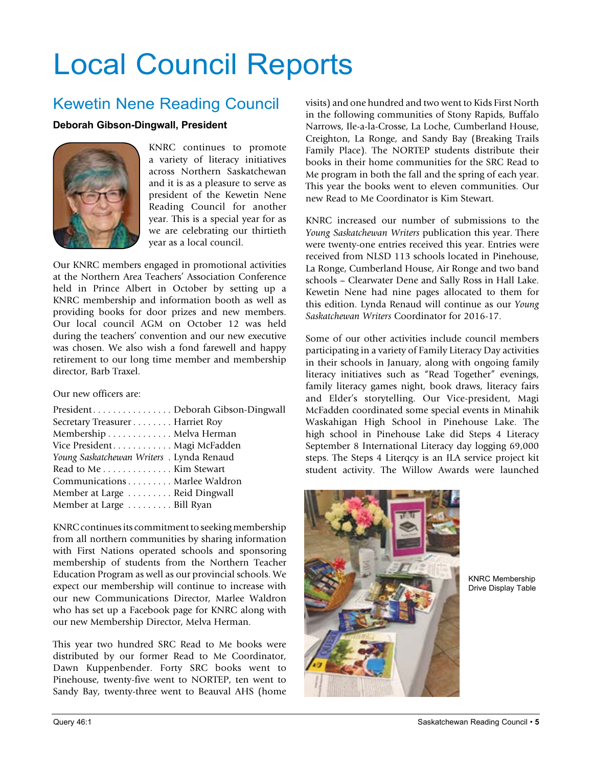# Local Council Reports

### Kewetin Nene Reading Council

#### **Deborah Gibson-Dingwall, President**



KNRC continues to promote a variety of literacy initiatives across Northern Saskatchewan and it is as a pleasure to serve as president of the Kewetin Nene Reading Council for another year. This is a special year for as we are celebrating our thirtieth year as a local council.

Our KNRC members engaged in promotional activities at the Northern Area Teachers' Association Conference held in Prince Albert in October by setting up a KNRC membership and information booth as well as providing books for door prizes and new members. Our local council AGM on October 12 was held during the teachers' convention and our new executive was chosen. We also wish a fond farewell and happy retirement to our long time member and membership director, Barb Traxel.

Our new officers are:

| PresidentDeborah Gibson-Dingwall          |  |
|-------------------------------------------|--|
| Secretary Treasurer Harriet Roy           |  |
| Membership Melva Herman                   |  |
| Vice President. Magi McFadden             |  |
| Young Saskatchewan Writers . Lynda Renaud |  |
| Read to Me Kim Stewart                    |  |
| Communications Marlee Waldron             |  |
| Member at Large  Reid Dingwall            |  |
| Member at Large Bill Ryan                 |  |

KNRC continues its commitment to seeking membership from all northern communities by sharing information with First Nations operated schools and sponsoring membership of students from the Northern Teacher Education Program as well as our provincial schools. We expect our membership will continue to increase with our new Communications Director, Marlee Waldron who has set up a Facebook page for KNRC along with our new Membership Director, Melva Herman.

This year two hundred SRC Read to Me books were distributed by our former Read to Me Coordinator, Dawn Kuppenbender. Forty SRC books went to Pinehouse, twenty-five went to NORTEP, ten went to Sandy Bay, twenty-three went to Beauval AHS (home

visits) and one hundred and two went to Kids First North in the following communities of Stony Rapids, Buffalo Narrows, Ile-a-la-Crosse, La Loche, Cumberland House, Creighton, La Ronge, and Sandy Bay (Breaking Trails Family Place). The NORTEP students distribute their books in their home communities for the SRC Read to Me program in both the fall and the spring of each year. This year the books went to eleven communities. Our new Read to Me Coordinator is Kim Stewart.

KNRC increased our number of submissions to the *Young Saskatchewan Writers* publication this year. There were twenty-one entries received this year. Entries were received from NLSD 113 schools located in Pinehouse, La Ronge, Cumberland House, Air Ronge and two band schools – Clearwater Dene and Sally Ross in Hall Lake. Kewetin Nene had nine pages allocated to them for this edition. Lynda Renaud will continue as our *Young Saskatchewan Writers* Coordinator for 2016-17.

Some of our other activities include council members participating in a variety of Family Literacy Day activities in their schools in January, along with ongoing family literacy initiatives such as "Read Together" evenings, family literacy games night, book draws, literacy fairs and Elder's storytelling. Our Vice-president, Magi McFadden coordinated some special events in Minahik Waskahigan High School in Pinehouse Lake. The high school in Pinehouse Lake did Steps 4 Literacy September 8 International Literacy day logging 69,000 steps. The Steps 4 Literqcy is an ILA service project kit student activity. The Willow Awards were launched



KNRC Membership Drive Display Table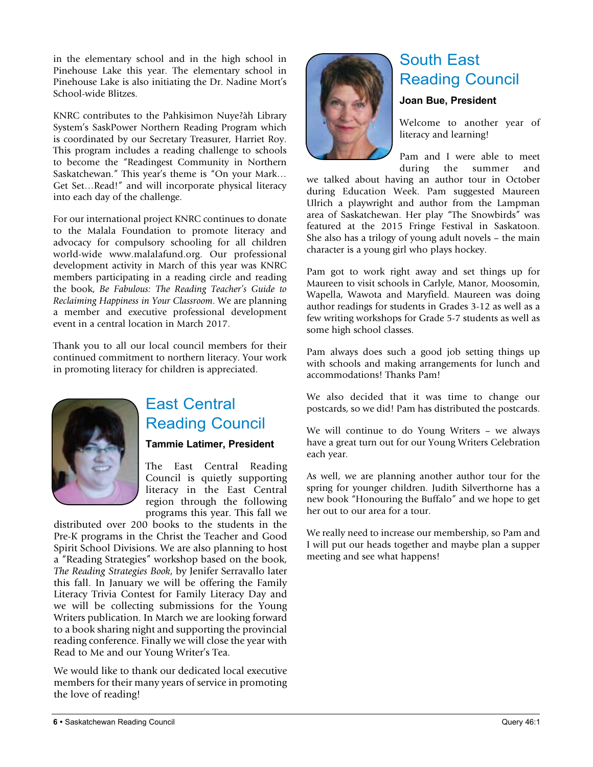in the elementary school and in the high school in Pinehouse Lake this year. The elementary school in Pinehouse Lake is also initiating the Dr. Nadine Mort's School-wide Blitzes.

KNRC contributes to the Pahkisimon Nuye?àh Library System's SaskPower Northern Reading Program which is coordinated by our Secretary Treasurer, Harriet Roy. This program includes a reading challenge to schools to become the "Readingest Community in Northern Saskatchewan." This year's theme is "On your Mark… Get Set…Read!" and will incorporate physical literacy into each day of the challenge.

For our international project KNRC continues to donate to the Malala Foundation to promote literacy and advocacy for compulsory schooling for all children world-wide www.malalafund.org. Our professional development activity in March of this year was KNRC members participating in a reading circle and reading the book, *Be Fabulous: The Reading Teacher's Guide to Reclaiming Happiness in Your Classroom*. We are planning a member and executive professional development event in a central location in March 2017.

Thank you to all our local council members for their continued commitment to northern literacy. Your work in promoting literacy for children is appreciated.



### East Central Reading Council

#### **Tammie Latimer, President**

The East Central Reading Council is quietly supporting literacy in the East Central region through the following programs this year. This fall we

distributed over 200 books to the students in the Pre-K programs in the Christ the Teacher and Good Spirit School Divisions. We are also planning to host a "Reading Strategies" workshop based on the book, *The Reading Strategies Book*, by Jenifer Serravallo later this fall. In January we will be offering the Family Literacy Trivia Contest for Family Literacy Day and we will be collecting submissions for the Young Writers publication. In March we are looking forward to a book sharing night and supporting the provincial reading conference. Finally we will close the year with Read to Me and our Young Writer's Tea.

We would like to thank our dedicated local executive members for their many years of service in promoting the love of reading!



### South East Reading Council

#### **Joan Bue, President**

Welcome to another year of literacy and learning!

Pam and I were able to meet during the summer and

we talked about having an author tour in October during Education Week. Pam suggested Maureen Ulrich a playwright and author from the Lampman area of Saskatchewan. Her play "The Snowbirds" was featured at the 2015 Fringe Festival in Saskatoon. She also has a trilogy of young adult novels – the main character is a young girl who plays hockey.

Pam got to work right away and set things up for Maureen to visit schools in Carlyle, Manor, Moosomin, Wapella, Wawota and Maryfield. Maureen was doing author readings for students in Grades 3-12 as well as a few writing workshops for Grade 5-7 students as well as some high school classes.

Pam always does such a good job setting things up with schools and making arrangements for lunch and accommodations! Thanks Pam!

We also decided that it was time to change our postcards, so we did! Pam has distributed the postcards.

We will continue to do Young Writers – we always have a great turn out for our Young Writers Celebration each year.

As well, we are planning another author tour for the spring for younger children. Judith Silverthorne has a new book "Honouring the Buffalo" and we hope to get her out to our area for a tour.

We really need to increase our membership, so Pam and I will put our heads together and maybe plan a supper meeting and see what happens!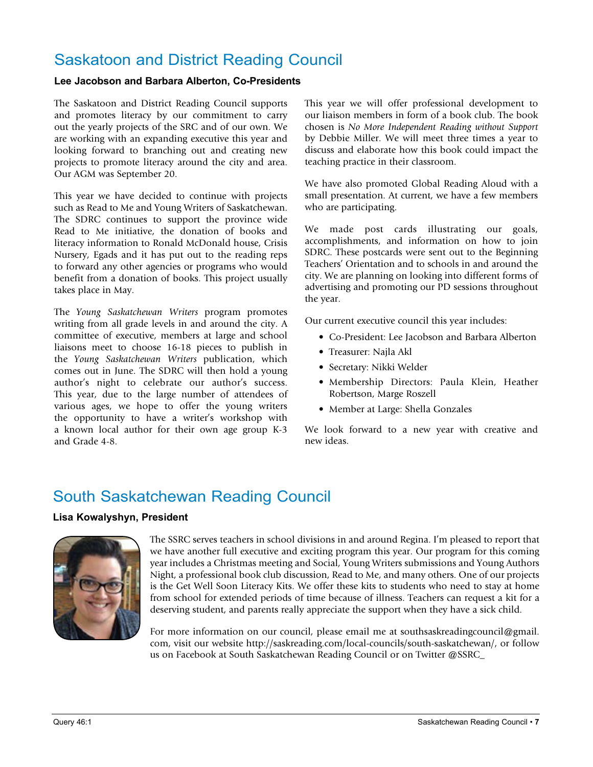### Saskatoon and District Reading Council

#### **Lee Jacobson and Barbara Alberton, Co-Presidents**

The Saskatoon and District Reading Council supports and promotes literacy by our commitment to carry out the yearly projects of the SRC and of our own. We are working with an expanding executive this year and looking forward to branching out and creating new projects to promote literacy around the city and area. Our AGM was September 20.

This year we have decided to continue with projects such as Read to Me and Young Writers of Saskatchewan. The SDRC continues to support the province wide Read to Me initiative, the donation of books and literacy information to Ronald McDonald house, Crisis Nursery, Egads and it has put out to the reading reps to forward any other agencies or programs who would benefit from a donation of books. This project usually takes place in May.

The *Young Saskatchewan Writers* program promotes writing from all grade levels in and around the city. A committee of executive, members at large and school liaisons meet to choose 16-18 pieces to publish in the *Young Saskatchewan Writers* publication, which comes out in June. The SDRC will then hold a young author's night to celebrate our author's success. This year, due to the large number of attendees of various ages, we hope to offer the young writers the opportunity to have a writer's workshop with a known local author for their own age group K-3 and Grade 4-8.

This year we will offer professional development to our liaison members in form of a book club. The book chosen is *No More Independent Reading without Support* by Debbie Miller. We will meet three times a year to discuss and elaborate how this book could impact the teaching practice in their classroom.

We have also promoted Global Reading Aloud with a small presentation. At current, we have a few members who are participating.

We made post cards illustrating our goals, accomplishments, and information on how to join SDRC. These postcards were sent out to the Beginning Teachers' Orientation and to schools in and around the city. We are planning on looking into different forms of advertising and promoting our PD sessions throughout the year.

Our current executive council this year includes:

- Co-President: Lee Jacobson and Barbara Alberton
- Treasurer: Najla Akl
- Secretary: Nikki Welder
- Membership Directors: Paula Klein, Heather Robertson, Marge Roszell
- Member at Large: Shella Gonzales

We look forward to a new year with creative and new ideas.

### South Saskatchewan Reading Council

#### **Lisa Kowalyshyn, President**



The SSRC serves teachers in school divisions in and around Regina. I'm pleased to report that we have another full executive and exciting program this year. Our program for this coming year includes a Christmas meeting and Social, Young Writers submissions and Young Authors Night, a professional book club discussion, Read to Me, and many others. One of our projects is the Get Well Soon Literacy Kits. We offer these kits to students who need to stay at home from school for extended periods of time because of illness. Teachers can request a kit for a deserving student, and parents really appreciate the support when they have a sick child.

For more information on our council, please email me at southsaskreadingcouncil@gmail. com, visit our website http://saskreading.com/local-councils/south-saskatchewan/, or follow us on Facebook at South Saskatchewan Reading Council or on Twitter @SSRC\_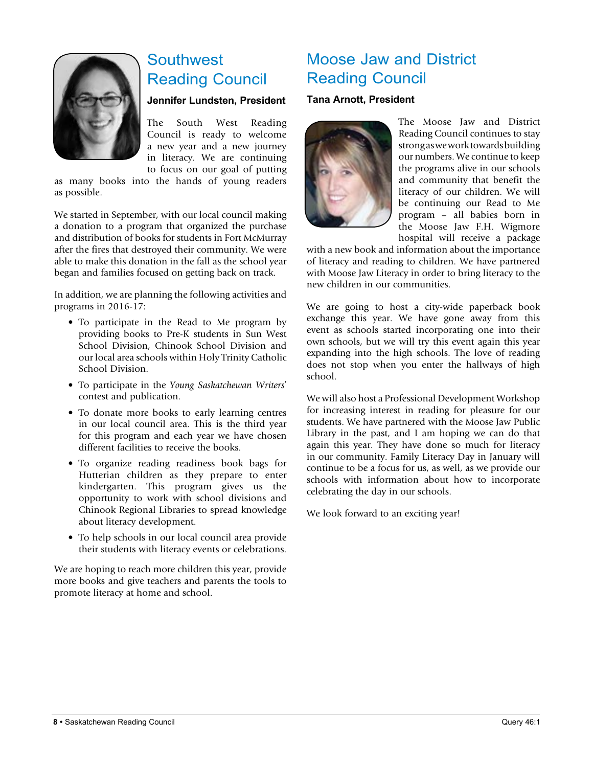

### **Southwest** Reading Council

#### **Jennifer Lundsten, President**

The South West Reading Council is ready to welcome a new year and a new journey in literacy. We are continuing to focus on our goal of putting

as many books into the hands of young readers as possible.

We started in September, with our local council making a donation to a program that organized the purchase and distribution of books for students in Fort McMurray after the fires that destroyed their community. We were able to make this donation in the fall as the school year began and families focused on getting back on track.

In addition, we are planning the following activities and programs in 2016-17:

- To participate in the Read to Me program by providing books to Pre-K students in Sun West School Division, Chinook School Division and our local area schools within Holy Trinity Catholic School Division.
- To participate in the *Young Saskatchewan Writers*' contest and publication.
- To donate more books to early learning centres in our local council area. This is the third year for this program and each year we have chosen different facilities to receive the books.
- To organize reading readiness book bags for Hutterian children as they prepare to enter kindergarten. This program gives us the opportunity to work with school divisions and Chinook Regional Libraries to spread knowledge about literacy development.
- To help schools in our local council area provide their students with literacy events or celebrations.

We are hoping to reach more children this year, provide more books and give teachers and parents the tools to promote literacy at home and school.

### Moose Jaw and District Reading Council

#### **Tana Arnott, President**



The Moose Jaw and District Reading Council continues to stay strong as we work towards building our numbers. We continue to keep the programs alive in our schools and community that benefit the literacy of our children. We will be continuing our Read to Me program – all babies born in the Moose Jaw F.H. Wigmore hospital will receive a package

with a new book and information about the importance of literacy and reading to children. We have partnered with Moose Jaw Literacy in order to bring literacy to the new children in our communities.

We are going to host a city-wide paperback book exchange this year. We have gone away from this event as schools started incorporating one into their own schools, but we will try this event again this year expanding into the high schools. The love of reading does not stop when you enter the hallways of high school.

We will also host a Professional Development Workshop for increasing interest in reading for pleasure for our students. We have partnered with the Moose Jaw Public Library in the past, and I am hoping we can do that again this year. They have done so much for literacy in our community. Family Literacy Day in January will continue to be a focus for us, as well, as we provide our schools with information about how to incorporate celebrating the day in our schools.

We look forward to an exciting year!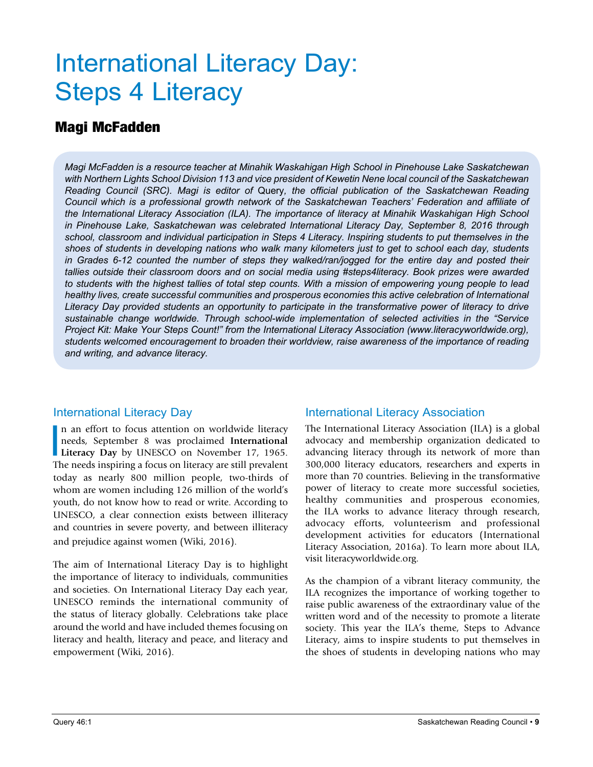# International Literacy Day: Steps 4 Literacy

#### Magi McFadden

*Magi McFadden is a resource teacher at Minahik Waskahigan High School in Pinehouse Lake Saskatchewan with Northern Lights School Division 113 and vice president of Kewetin Nene local council of the Saskatchewan Reading Council (SRC). Magi is editor of* Query*, the official publication of the Saskatchewan Reading Council which is a professional growth network of the Saskatchewan Teachers' Federation and affiliate of the International Literacy Association (ILA). The importance of literacy at Minahik Waskahigan High School in Pinehouse Lake, Saskatchewan was celebrated International Literacy Day, September 8, 2016 through school, classroom and individual participation in Steps 4 Literacy. Inspiring students to put themselves in the shoes of students in developing nations who walk many kilometers just to get to school each day, students in Grades 6-12 counted the number of steps they walked/ran/jogged for the entire day and posted their tallies outside their classroom doors and on social media using #steps4literacy. Book prizes were awarded to students with the highest tallies of total step counts. With a mission of empowering young people to lead healthy lives, create successful communities and prosperous economies this active celebration of International Literacy Day provided students an opportunity to participate in the transformative power of literacy to drive sustainable change worldwide. Through school-wide implementation of selected activities in the "Service Project Kit: Make Your Steps Count!" from the International Literacy Association (www.literacyworldwide.org), students welcomed encouragement to broaden their worldview, raise awareness of the importance of reading and writing, and advance literacy.* 

#### International Literacy Day

I<br>Th n an effort to focus attention on worldwide literacy needs, September 8 was proclaimed **International Literacy Day** by UNESCO on November 17, 1965. The needs inspiring a focus on literacy are still prevalent today as nearly 800 million people, two-thirds of whom are women including 126 million of the world's youth, do not know how to read or write. According to UNESCO, a clear connection exists between illiteracy and countries in severe poverty, and between illiteracy and prejudice against women (Wiki, 2016).

The aim of International Literacy Day is to highlight the importance of literacy to individuals, communities and societies. On International Literacy Day each year, UNESCO reminds the international community of the status of literacy globally. Celebrations take place around the world and have included themes focusing on literacy and health, literacy and peace, and literacy and empowerment (Wiki, 2016).

#### International Literacy Association

The International Literacy Association (ILA) is a global advocacy and membership organization dedicated to advancing literacy through its network of more than 300,000 literacy educators, researchers and experts in more than 70 countries. Believing in the transformative power of literacy to create more successful societies, healthy communities and prosperous economies, the ILA works to advance literacy through research, advocacy efforts, volunteerism and professional development activities for educators (International Literacy Association, 2016a). To learn more about ILA, visit literacyworldwide.org.

As the champion of a vibrant literacy community, the ILA recognizes the importance of working together to raise public awareness of the extraordinary value of the written word and of the necessity to promote a literate society. This year the ILA's theme, Steps to Advance Literacy, aims to inspire students to put themselves in the shoes of students in developing nations who may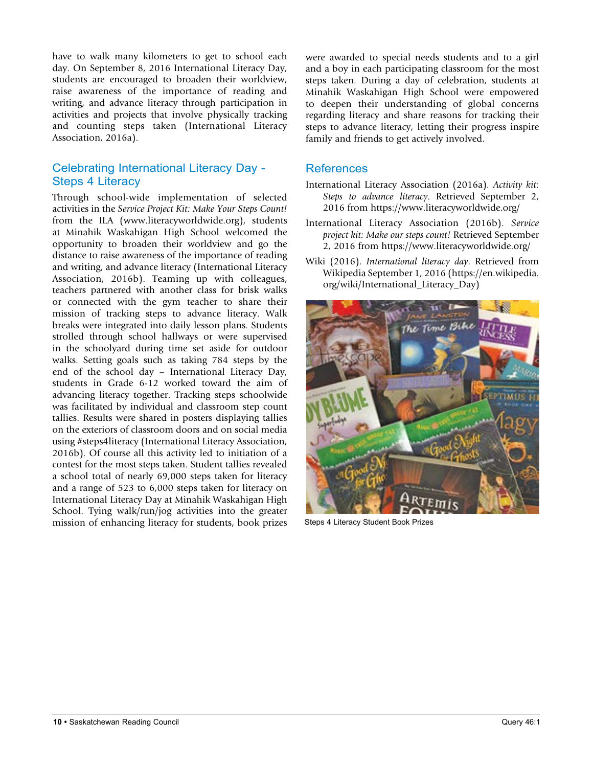have to walk many kilometers to get to school each day. On September 8, 2016 International Literacy Day, students are encouraged to broaden their worldview, raise awareness of the importance of reading and writing, and advance literacy through participation in activities and projects that involve physically tracking and counting steps taken (International Literacy Association, 2016a).

#### Celebrating International Literacy Day - Steps 4 Literacy

Through school-wide implementation of selected activities in the *Service Project Kit: Make Your Steps Count!* from the ILA (www.literacyworldwide.org), students at Minahik Waskahigan High School welcomed the opportunity to broaden their worldview and go the distance to raise awareness of the importance of reading and writing, and advance literacy (International Literacy Association, 2016b). Teaming up with colleagues, teachers partnered with another class for brisk walks or connected with the gym teacher to share their mission of tracking steps to advance literacy. Walk breaks were integrated into daily lesson plans. Students strolled through school hallways or were supervised in the schoolyard during time set aside for outdoor walks. Setting goals such as taking 784 steps by the end of the school day – International Literacy Day, students in Grade 6-12 worked toward the aim of advancing literacy together. Tracking steps schoolwide was facilitated by individual and classroom step count tallies. Results were shared in posters displaying tallies on the exteriors of classroom doors and on social media using #steps4literacy (International Literacy Association, 2016b). Of course all this activity led to initiation of a contest for the most steps taken. Student tallies revealed a school total of nearly 69,000 steps taken for literacy and a range of 523 to 6,000 steps taken for literacy on International Literacy Day at Minahik Waskahigan High School. Tying walk/run/jog activities into the greater mission of enhancing literacy for students, book prizes Steps 4 Literacy Student Book Prizes

were awarded to special needs students and to a girl and a boy in each participating classroom for the most steps taken. During a day of celebration, students at Minahik Waskahigan High School were empowered to deepen their understanding of global concerns regarding literacy and share reasons for tracking their steps to advance literacy, letting their progress inspire family and friends to get actively involved.

#### References

- International Literacy Association (2016a). *Activity kit: Steps to advance literacy*. Retrieved September 2, 2016 from https://www.literacyworldwide.org/
- International Literacy Association (2016b). *Service project kit: Make our steps count!* Retrieved September 2, 2016 from https://www.literacyworldwide.org/
- Wiki (2016). *International literacy day*. Retrieved from Wikipedia September 1, 2016 (https://en.wikipedia. org/wiki/International\_Literacy\_Day)

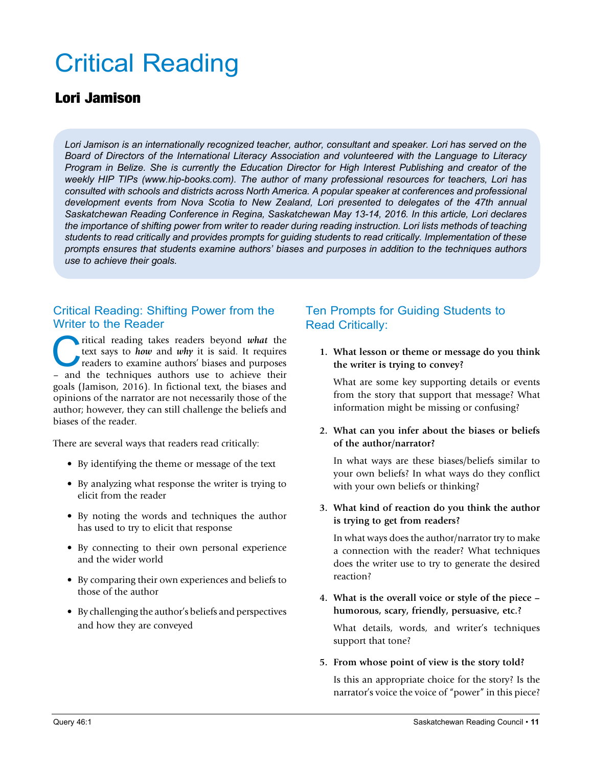# Critical Reading

#### Lori Jamison

*Lori Jamison is an internationally recognized teacher, author, consultant and speaker. Lori has served on the Board of Directors of the International Literacy Association and volunteered with the Language to Literacy Program in Belize. She is currently the Education Director for High Interest Publishing and creator of the weekly HIP TIPs (www.hip-books.com). The author of many professional resources for teachers, Lori has consulted with schools and districts across North America. A popular speaker at conferences and professional development events from Nova Scotia to New Zealand, Lori presented to delegates of the 47th annual Saskatchewan Reading Conference in Regina, Saskatchewan May 13-14, 2016. In this article, Lori declares*  the importance of shifting power from writer to reader during reading instruction. Lori lists methods of teaching *students to read critically and provides prompts for guiding students to read critically. Implementation of these prompts ensures that students examine authors' biases and purposes in addition to the techniques authors use to achieve their goals.* 

#### Critical Reading: Shifting Power from the Writer to the Reader

ritical reading takes readers beyond *what* the text says to *how* and *why* it is said. It requires readers to examine authors' biases and purposes – and the techniques authors use to achieve their text says to *how* and *why* it is said. It requires readers to examine authors' biases and purposes – and the techniques authors use to achieve their goals (Jamison, 2016). In fictional text, the biases and opinions of the narrator are not necessarily those of the author; however, they can still challenge the beliefs and biases of the reader.

There are several ways that readers read critically:

- By identifying the theme or message of the text
- By analyzing what response the writer is trying to elicit from the reader
- By noting the words and techniques the author has used to try to elicit that response
- By connecting to their own personal experience and the wider world
- By comparing their own experiences and beliefs to those of the author
- By challenging the author's beliefs and perspectives and how they are conveyed

#### Ten Prompts for Guiding Students to Read Critically:

**1. What lesson or theme or message do you think the writer is trying to convey?**

What are some key supporting details or events from the story that support that message? What information might be missing or confusing?

#### **2. What can you infer about the biases or beliefs of the author/narrator?**

In what ways are these biases/beliefs similar to your own beliefs? In what ways do they conflict with your own beliefs or thinking?

#### **3. What kind of reaction do you think the author is trying to get from readers?**

In what ways does the author/narrator try to make a connection with the reader? What techniques does the writer use to try to generate the desired reaction?

**4. What is the overall voice or style of the piece – humorous, scary, friendly, persuasive, etc.?**

What details, words, and writer's techniques support that tone?

#### **5. From whose point of view is the story told?**

Is this an appropriate choice for the story? Is the narrator's voice the voice of "power" in this piece?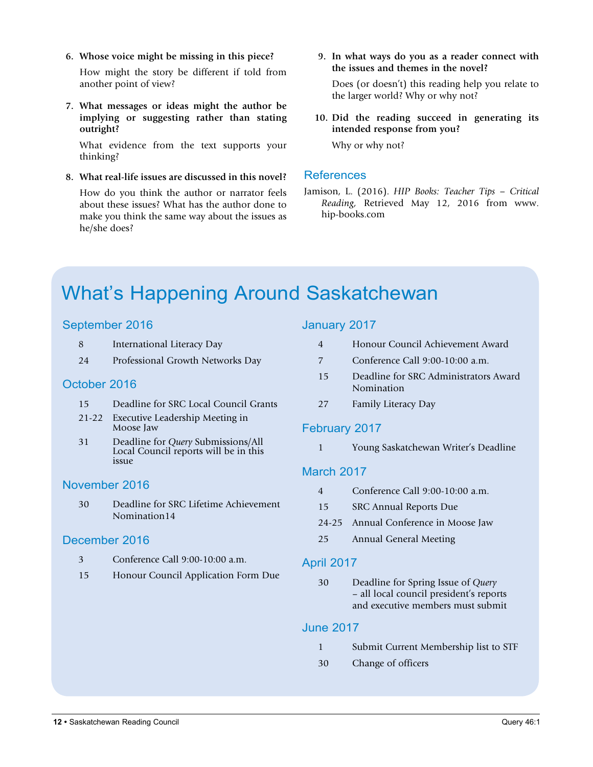**6. Whose voice might be missing in this piece?**

How might the story be different if told from another point of view?

**7. What messages or ideas might the author be implying or suggesting rather than stating outright?**

What evidence from the text supports your thinking?

**8. What real-life issues are discussed in this novel?** How do you think the author or narrator feels about these issues? What has the author done to make you think the same way about the issues as he/she does?

**9. In what ways do you as a reader connect with the issues and themes in the novel?**

Does (or doesn't) this reading help you relate to the larger world? Why or why not?

**10. Did the reading succeed in generating its intended response from you?**

Why or why not?

#### References

Jamison, L. (2016). *HIP Books: Teacher Tips – Critical Reading,* Retrieved May 12, 2016 from www. hip-books.com

# What's Happening Around Saskatchewan

#### September 2016

- 8 International Literacy Day
- 24 Professional Growth Networks Day

#### October 2016

- 15 Deadline for SRC Local Council Grants
- 21-22 Executive Leadership Meeting in Moose Jaw
- 31 Deadline for *Query* Submissions/All Local Council reports will be in this issue

#### November 2016

30 Deadline for SRC Lifetime Achievement Nomination14

#### December 2016

- 3 Conference Call 9:00-10:00 a.m.
- 15 Honour Council Application Form Due

#### January 2017

| Honour Council Achievement Award |
|----------------------------------|
| Conference Call 9:00-10:00 a.m.  |

- 15 Deadline for SRC Administrators Award Nomination
- 27 Family Literacy Day

#### February 2017

1 Young Saskatchewan Writer's Deadline

#### March 2017

- 4 Conference Call 9:00-10:00 a.m.
- 15 SRC Annual Reports Due
- 24-25 Annual Conference in Moose Jaw
- 25 Annual General Meeting

#### April 2017

30 Deadline for Spring Issue of *Query* – all local council president's reports and executive members must submit

#### June 2017

- 1 Submit Current Membership list to STF
- 30 Change of officers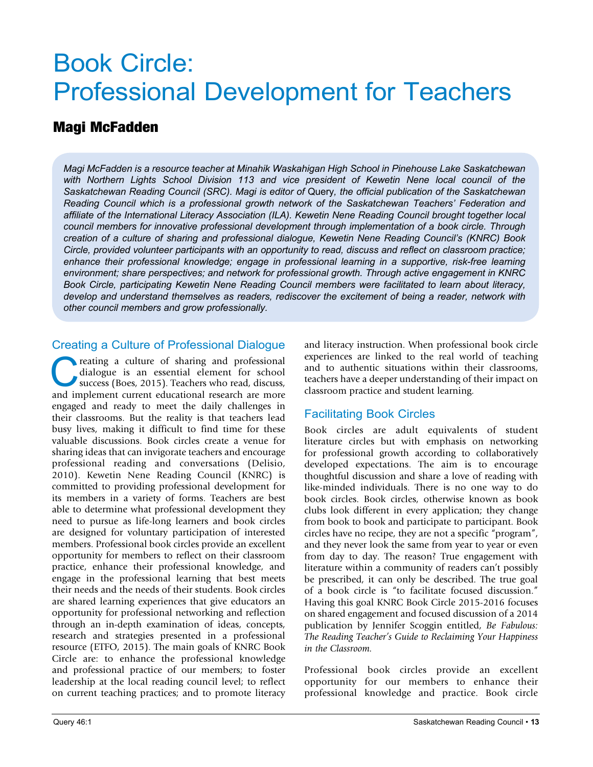# Book Circle: Professional Development for Teachers

#### Magi McFadden

*Magi McFadden is a resource teacher at Minahik Waskahigan High School in Pinehouse Lake Saskatchewan*  with Northern Lights School Division 113 and vice president of Kewetin Nene local council of the *Saskatchewan Reading Council (SRC). Magi is editor of* Query*, the official publication of the Saskatchewan Reading Council which is a professional growth network of the Saskatchewan Teachers' Federation and affiliate of the International Literacy Association (ILA). Kewetin Nene Reading Council brought together local council members for innovative professional development through implementation of a book circle. Through creation of a culture of sharing and professional dialogue, Kewetin Nene Reading Council's (KNRC) Book Circle, provided volunteer participants with an opportunity to read, discuss and reflect on classroom practice; enhance their professional knowledge; engage in professional learning in a supportive, risk-free learning environment; share perspectives; and network for professional growth. Through active engagement in KNRC Book Circle, participating Kewetin Nene Reading Council members were facilitated to learn about literacy, develop and understand themselves as readers, rediscover the excitement of being a reader, network with other council members and grow professionally.*

#### Creating a Culture of Professional Dialogue

reating a culture of sharing and professional<br>dialogue is an essential element for school<br>success (Boes, 2015). Teachers who read, discuss,<br>and implement current educational research are more dialogue is an essential element for school success (Boes, 2015). Teachers who read, discuss, and implement current educational research are more engaged and ready to meet the daily challenges in their classrooms. But the reality is that teachers lead busy lives, making it difficult to find time for these valuable discussions. Book circles create a venue for sharing ideas that can invigorate teachers and encourage professional reading and conversations (Delisio, 2010). Kewetin Nene Reading Council (KNRC) is committed to providing professional development for its members in a variety of forms. Teachers are best able to determine what professional development they need to pursue as life-long learners and book circles are designed for voluntary participation of interested members. Professional book circles provide an excellent opportunity for members to reflect on their classroom practice, enhance their professional knowledge, and engage in the professional learning that best meets their needs and the needs of their students. Book circles are shared learning experiences that give educators an opportunity for professional networking and reflection through an in-depth examination of ideas, concepts, research and strategies presented in a professional resource (ETFO, 2015). The main goals of KNRC Book Circle are: to enhance the professional knowledge and professional practice of our members; to foster leadership at the local reading council level; to reflect on current teaching practices; and to promote literacy

and literacy instruction. When professional book circle experiences are linked to the real world of teaching and to authentic situations within their classrooms, teachers have a deeper understanding of their impact on classroom practice and student learning.

#### Facilitating Book Circles

Book circles are adult equivalents of student literature circles but with emphasis on networking for professional growth according to collaboratively developed expectations. The aim is to encourage thoughtful discussion and share a love of reading with like-minded individuals. There is no one way to do book circles. Book circles, otherwise known as book clubs look different in every application; they change from book to book and participate to participant. Book circles have no recipe, they are not a specific "program", and they never look the same from year to year or even from day to day. The reason? True engagement with literature within a community of readers can't possibly be prescribed, it can only be described. The true goal of a book circle is "to facilitate focused discussion." Having this goal KNRC Book Circle 2015-2016 focuses on shared engagement and focused discussion of a 2014 publication by Jennifer Scoggin entitled, *Be Fabulous: The Reading Teacher's Guide to Reclaiming Your Happiness in the Classroom.*

Professional book circles provide an excellent opportunity for our members to enhance their professional knowledge and practice. Book circle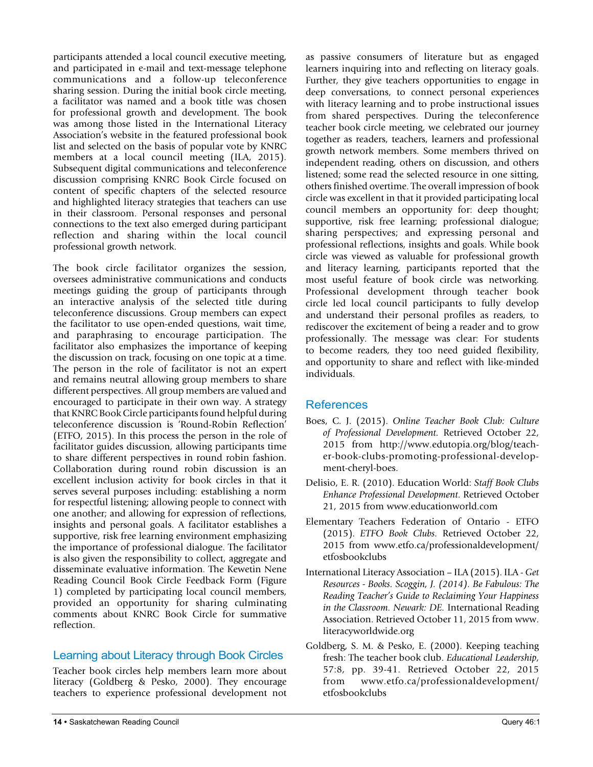participants attended a local council executive meeting, and participated in e-mail and text-message telephone communications and a follow-up teleconference sharing session. During the initial book circle meeting, a facilitator was named and a book title was chosen for professional growth and development. The book was among those listed in the International Literacy Association's website in the featured professional book list and selected on the basis of popular vote by KNRC members at a local council meeting (ILA, 2015). Subsequent digital communications and teleconference discussion comprising KNRC Book Circle focused on content of specific chapters of the selected resource and highlighted literacy strategies that teachers can use in their classroom. Personal responses and personal connections to the text also emerged during participant reflection and sharing within the local council professional growth network.

The book circle facilitator organizes the session, oversees administrative communications and conducts meetings guiding the group of participants through an interactive analysis of the selected title during teleconference discussions. Group members can expect the facilitator to use open-ended questions, wait time, and paraphrasing to encourage participation. The facilitator also emphasizes the importance of keeping the discussion on track, focusing on one topic at a time. The person in the role of facilitator is not an expert and remains neutral allowing group members to share different perspectives. All group members are valued and encouraged to participate in their own way. A strategy that KNRC Book Circle participants found helpful during teleconference discussion is 'Round-Robin Reflection' (ETFO, 2015). In this process the person in the role of facilitator guides discussion, allowing participants time to share different perspectives in round robin fashion. Collaboration during round robin discussion is an excellent inclusion activity for book circles in that it serves several purposes including: establishing a norm for respectful listening; allowing people to connect with one another; and allowing for expression of reflections, insights and personal goals. A facilitator establishes a supportive, risk free learning environment emphasizing the importance of professional dialogue. The facilitator is also given the responsibility to collect, aggregate and disseminate evaluative information. The Kewetin Nene Reading Council Book Circle Feedback Form (Figure 1) completed by participating local council members, provided an opportunity for sharing culminating comments about KNRC Book Circle for summative reflection.

#### Learning about Literacy through Book Circles

Teacher book circles help members learn more about literacy (Goldberg & Pesko, 2000). They encourage teachers to experience professional development not as passive consumers of literature but as engaged learners inquiring into and reflecting on literacy goals. Further, they give teachers opportunities to engage in deep conversations, to connect personal experiences with literacy learning and to probe instructional issues from shared perspectives. During the teleconference teacher book circle meeting, we celebrated our journey together as readers, teachers, learners and professional growth network members. Some members thrived on independent reading, others on discussion, and others listened; some read the selected resource in one sitting, others finished overtime. The overall impression of book circle was excellent in that it provided participating local council members an opportunity for: deep thought; supportive, risk free learning; professional dialogue; sharing perspectives; and expressing personal and professional reflections, insights and goals. While book circle was viewed as valuable for professional growth and literacy learning, participants reported that the most useful feature of book circle was networking. Professional development through teacher book circle led local council participants to fully develop and understand their personal profiles as readers, to rediscover the excitement of being a reader and to grow professionally. The message was clear: For students to become readers, they too need guided flexibility, and opportunity to share and reflect with like-minded individuals.

#### References

- Boes, C. J. (2015). *Online Teacher Book Club: Culture of Professional Development.* Retrieved October 22, 2015 from http://www.edutopia.org/blog/teacher-book-clubs-promoting-professional-development-cheryl-boes.
- Delisio, E. R. (2010). Education World: *Staff Book Clubs Enhance Professional Development*. Retrieved October 21, 2015 from www.educationworld.com
- Elementary Teachers Federation of Ontario ETFO (2015). *ETFO Book Clubs.* Retrieved October 22, 2015 from www.etfo.ca/professionaldevelopment/ etfosbookclubs
- International Literacy Association ILA (2015). ILA *Get Resources - Books. Scoggin, J. (2014). Be Fabulous: The Reading Teacher's Guide to Reclaiming Your Happiness in the Classroom. Newark: DE.* International Reading Association. Retrieved October 11, 2015 from www. literacyworldwide.org
- Goldberg, S. M. & Pesko, E. (2000). Keeping teaching fresh: The teacher book club. *Educational Leadership*, 57:8, pp. 39-41. Retrieved October 22, 2015 from www.etfo.ca/professionaldevelopment/ etfosbookclubs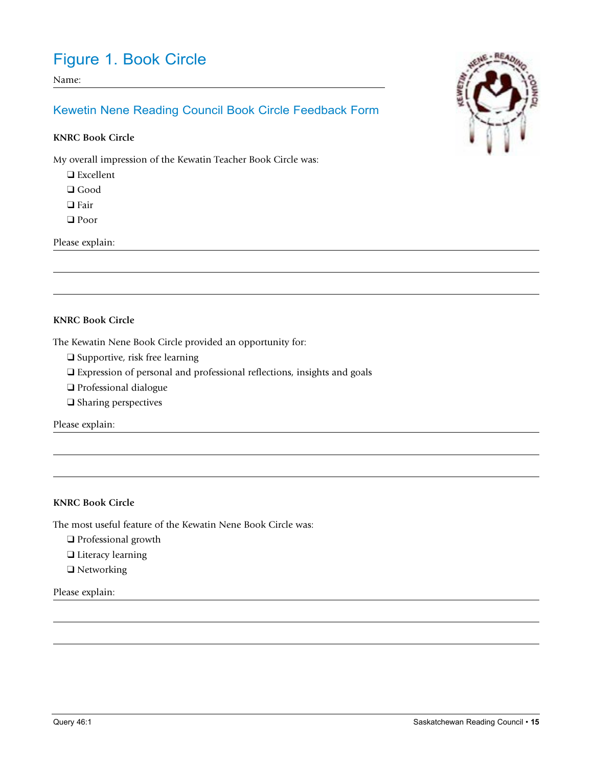### Figure 1. Book Circle

Name:

#### Kewetin Nene Reading Council Book Circle Feedback Form

#### **KNRC Book Circle**

My overall impression of the Kewatin Teacher Book Circle was:

 $\Box$  Excellent

 $\Box$  Good

 $\Box$  Fair

□ Poor

Please explain:

#### **KNRC Book Circle**

The Kewatin Nene Book Circle provided an opportunity for:

- $\Box$  Supportive, risk free learning
- q Expression of personal and professional reflections, insights and goals
- $\Box$  Professional dialogue
- $\Box$  Sharing perspectives

Please explain:

#### **KNRC Book Circle**

The most useful feature of the Kewatin Nene Book Circle was:

- $\Box$  Professional growth
- **Q** Literacy learning
- $\Box$  Networking

#### Please explain:

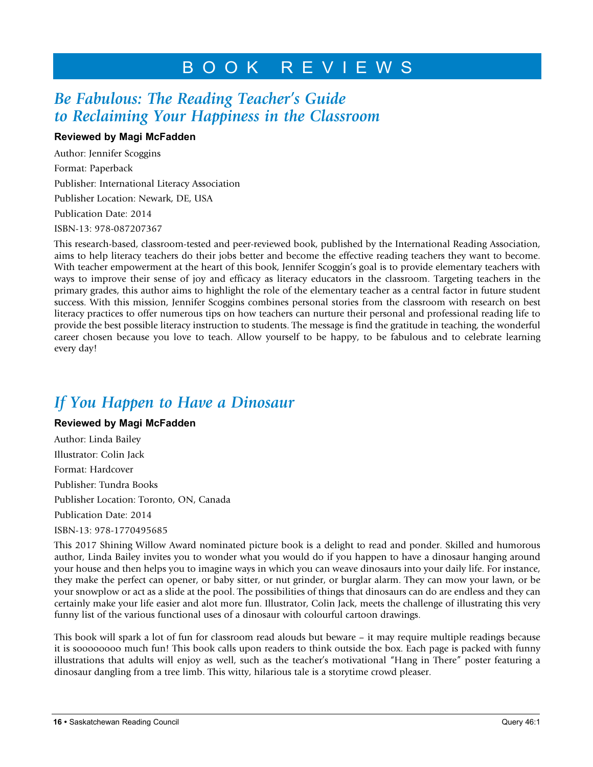### BOOK REVIEWS

### *Be Fabulous: The Reading Teacher's Guide to Reclaiming Your Happiness in the Classroom*

#### **Reviewed by Magi McFadden**

Author: Jennifer Scoggins Format: Paperback Publisher: International Literacy Association Publisher Location: Newark, DE, USA Publication Date: 2014 ISBN-13: 978-087207367

This research-based, classroom-tested and peer-reviewed book, published by the International Reading Association, aims to help literacy teachers do their jobs better and become the effective reading teachers they want to become. With teacher empowerment at the heart of this book, Jennifer Scoggin's goal is to provide elementary teachers with ways to improve their sense of joy and efficacy as literacy educators in the classroom. Targeting teachers in the primary grades, this author aims to highlight the role of the elementary teacher as a central factor in future student success. With this mission, Jennifer Scoggins combines personal stories from the classroom with research on best literacy practices to offer numerous tips on how teachers can nurture their personal and professional reading life to provide the best possible literacy instruction to students. The message is find the gratitude in teaching, the wonderful career chosen because you love to teach. Allow yourself to be happy, to be fabulous and to celebrate learning every day!

### *If You Happen to Have a Dinosaur*

#### **Reviewed by Magi McFadden**

Author: Linda Bailey Illustrator: Colin Jack Format: Hardcover Publisher: Tundra Books Publisher Location: Toronto, ON, Canada Publication Date: 2014 ISBN-13: 978-1770495685

This 2017 Shining Willow Award nominated picture book is a delight to read and ponder. Skilled and humorous author, Linda Bailey invites you to wonder what you would do if you happen to have a dinosaur hanging around your house and then helps you to imagine ways in which you can weave dinosaurs into your daily life. For instance, they make the perfect can opener, or baby sitter, or nut grinder, or burglar alarm. They can mow your lawn, or be your snowplow or act as a slide at the pool. The possibilities of things that dinosaurs can do are endless and they can certainly make your life easier and alot more fun. Illustrator, Colin Jack, meets the challenge of illustrating this very funny list of the various functional uses of a dinosaur with colourful cartoon drawings.

This book will spark a lot of fun for classroom read alouds but beware – it may require multiple readings because it is soooooooo much fun! This book calls upon readers to think outside the box. Each page is packed with funny illustrations that adults will enjoy as well, such as the teacher's motivational "Hang in There" poster featuring a dinosaur dangling from a tree limb. This witty, hilarious tale is a storytime crowd pleaser.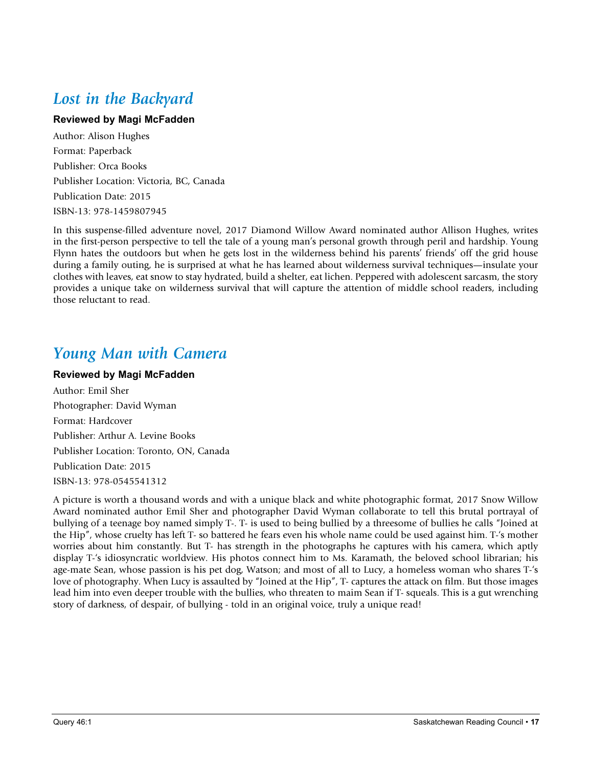### *Lost in the Backyard*

#### **Reviewed by Magi McFadden**

Author: Alison Hughes Format: Paperback Publisher: Orca Books Publisher Location: Victoria, BC, Canada Publication Date: 2015 ISBN-13: 978-1459807945

In this suspense-filled adventure novel, 2017 Diamond Willow Award nominated author Allison Hughes, writes in the first-person perspective to tell the tale of a young man's personal growth through peril and hardship. Young Flynn hates the outdoors but when he gets lost in the wilderness behind his parents' friends' off the grid house during a family outing, he is surprised at what he has learned about wilderness survival techniques—insulate your clothes with leaves, eat snow to stay hydrated, build a shelter, eat lichen. Peppered with adolescent sarcasm, the story provides a unique take on wilderness survival that will capture the attention of middle school readers, including those reluctant to read.

### *Young Man with Camera*

#### **Reviewed by Magi McFadden**

Author: Emil Sher Photographer: David Wyman Format: Hardcover Publisher: Arthur A. Levine Books Publisher Location: Toronto, ON, Canada Publication Date: 2015 ISBN-13: 978-0545541312

A picture is worth a thousand words and with a unique black and white photographic format, 2017 Snow Willow Award nominated author Emil Sher and photographer David Wyman collaborate to tell this brutal portrayal of bullying of a teenage boy named simply T-. T- is used to being bullied by a threesome of bullies he calls "Joined at the Hip", whose cruelty has left T- so battered he fears even his whole name could be used against him. T-'s mother worries about him constantly. But T- has strength in the photographs he captures with his camera, which aptly display T-'s idiosyncratic worldview. His photos connect him to Ms. Karamath, the beloved school librarian; his age-mate Sean, whose passion is his pet dog, Watson; and most of all to Lucy, a homeless woman who shares T-'s love of photography. When Lucy is assaulted by "Joined at the Hip", T- captures the attack on film. But those images lead him into even deeper trouble with the bullies, who threaten to maim Sean if T- squeals. This is a gut wrenching story of darkness, of despair, of bullying - told in an original voice, truly a unique read!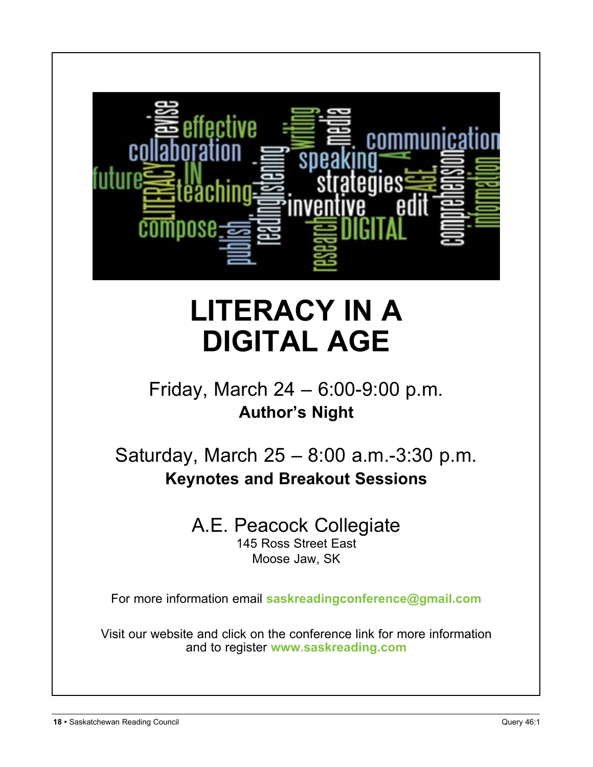

# **LITERACY IN A DIGITAL AGE**

# Friday, March 24 – 6:00-9:00 p.m. **Author's Night**

Saturday, March 25 – 8:00 a.m.-3:30 p.m. **Keynotes and Breakout Sessions**

# A.E. Peacock Collegiate

145 Ross Street East Moose Jaw, SK

For more information email **saskreadingconference@gmail.com**

Visit our website and click on the conference link for more information and to register **www.saskreading.com**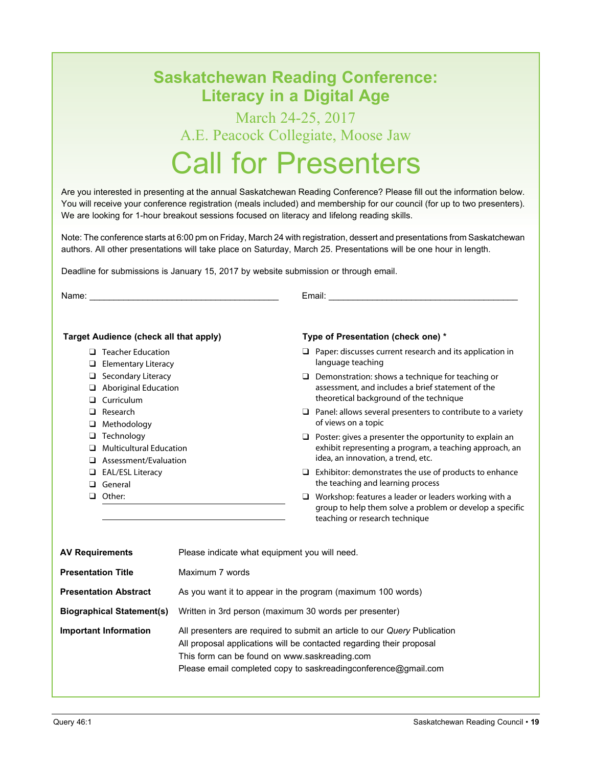### **Saskatchewan Reading Conference: Literacy in a Digital Age**

# March 24-25, 2017 A.E. Peacock Collegiate, Moose Jaw

# Call for Presenters

Are you interested in presenting at the annual Saskatchewan Reading Conference? Please fill out the information below. You will receive your conference registration (meals included) and membership for our council (for up to two presenters). We are looking for 1-hour breakout sessions focused on literacy and lifelong reading skills.

Note: The conference starts at 6:00 pm on Friday, March 24 with registration, dessert and presentations from Saskatchewan authors. All other presentations will take place on Saturday, March 25. Presentations will be one hour in length.

Deadline for submissions is January 15, 2017 by website submission or through email.

Name:  $\blacksquare$   $\blacksquare$   $\blacksquare$   $\blacksquare$   $\blacksquare$   $\blacksquare$   $\blacksquare$   $\blacksquare$   $\blacksquare$   $\blacksquare$   $\blacksquare$   $\blacksquare$   $\blacksquare$   $\blacksquare$   $\blacksquare$   $\blacksquare$   $\blacksquare$   $\blacksquare$   $\blacksquare$   $\blacksquare$   $\blacksquare$   $\blacksquare$   $\blacksquare$   $\blacksquare$   $\blacksquare$   $\blacksquare$   $\blacksquare$   $\blacksquare$   $\blacksquare$   $\blacksquare$   $\blacksquare$ 

#### **Target Audience (check all that apply)**

- $\Box$  Teacher Education
- $\Box$  Elementary Literacy
- $\Box$  Secondary Literacy
- $\Box$  Aboriginal Education
- **Q** Curriculum
- $\Box$  Research
- $\Box$  Methodology
- $\Box$  Technology
- $\Box$  Multicultural Education
- $\Box$  Assessment/Evaluation
- **Q** EAL/ESL Literacy
- **q** General
- **Q** Other:

#### **Type of Presentation (check one) \***

- $\Box$  Paper: discusses current research and its application in language teaching
- $\Box$  Demonstration: shows a technique for teaching or assessment, and includes a brief statement of the theoretical background of the technique
- $\Box$  Panel: allows several presenters to contribute to a variety of views on a topic
- $\Box$  Poster: gives a presenter the opportunity to explain an exhibit representing a program, a teaching approach, an idea, an innovation, a trend, etc.
- $\Box$  Exhibitor: demonstrates the use of products to enhance the teaching and learning process
- $\Box$  Workshop: features a leader or leaders working with a group to help them solve a problem or develop a specific teaching or research technique

| <b>AV Requirements</b>           | Please indicate what equipment you will need.                                                                                                                                                                                                                         |  |  |
|----------------------------------|-----------------------------------------------------------------------------------------------------------------------------------------------------------------------------------------------------------------------------------------------------------------------|--|--|
| <b>Presentation Title</b>        | Maximum 7 words                                                                                                                                                                                                                                                       |  |  |
| <b>Presentation Abstract</b>     | As you want it to appear in the program (maximum 100 words)                                                                                                                                                                                                           |  |  |
| <b>Biographical Statement(s)</b> | Written in 3rd person (maximum 30 words per presenter)                                                                                                                                                                                                                |  |  |
| <b>Important Information</b>     | All presenters are required to submit an article to our Query Publication<br>All proposal applications will be contacted regarding their proposal<br>This form can be found on www.saskreading.com<br>Please email completed copy to saskreading conference@gmail.com |  |  |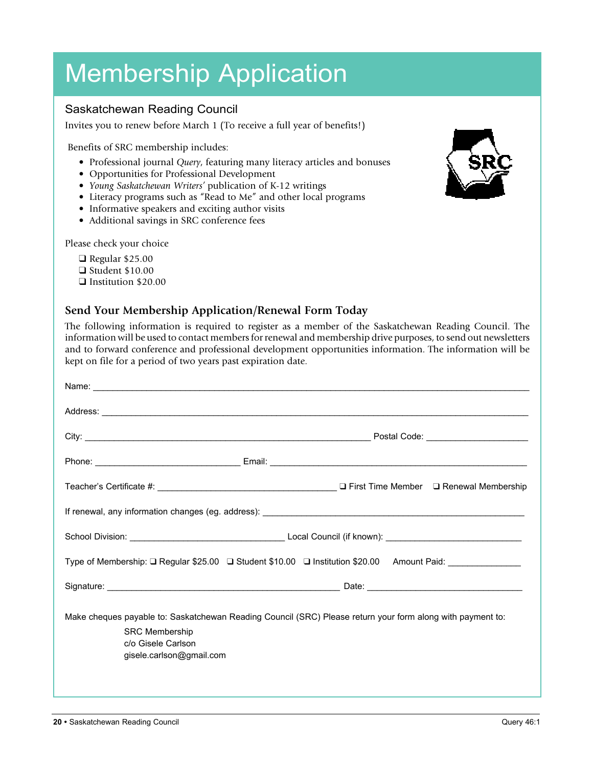# Membership Application

#### Saskatchewan Reading Council

Invites you to renew before March 1 (To receive a full year of benefits!)

Benefits of SRC membership includes:

- Professional journal *Query*, featuring many literacy articles and bonuses
- Opportunities for Professional Development
- *Young Saskatchewan Writers'* publication of K-12 writings
- Literacy programs such as "Read to Me" and other local programs
- Informative speakers and exciting author visits
- Additional savings in SRC conference fees

Please check your choice

- $\Box$  Regular \$25.00
- $\Box$  Student \$10.00
- **q** Institution \$20.00

#### **Send Your Membership Application/Renewal Form Today**

The following information is required to register as a member of the Saskatchewan Reading Council. The information will be used to contact members for renewal and membership drive purposes, to send out newsletters and to forward conference and professional development opportunities information. The information will be kept on file for a period of two years past expiration date.

| Name: <u>example and a series of the series of the series of the series of the series of the series of the series of the series of the series of the series of the series of the series of the series of the series of the serie</u> |  |
|--------------------------------------------------------------------------------------------------------------------------------------------------------------------------------------------------------------------------------------|--|
| Address: <u>example and a series of the series of the series of the series of the series of the series of the series of the series of the series of the series of the series of the series of the series of the series of the se</u> |  |
|                                                                                                                                                                                                                                      |  |
|                                                                                                                                                                                                                                      |  |
|                                                                                                                                                                                                                                      |  |
|                                                                                                                                                                                                                                      |  |
|                                                                                                                                                                                                                                      |  |
| Type of Membership: □ Regular \$25.00 □ Student \$10.00 □ Institution \$20.00 Amount Paid: ____________                                                                                                                              |  |
|                                                                                                                                                                                                                                      |  |
| Make cheques payable to: Saskatchewan Reading Council (SRC) Please return your form along with payment to:<br><b>SRC Membership</b><br>c/o Gisele Carlson<br>gisele.carlson@gmail.com                                                |  |

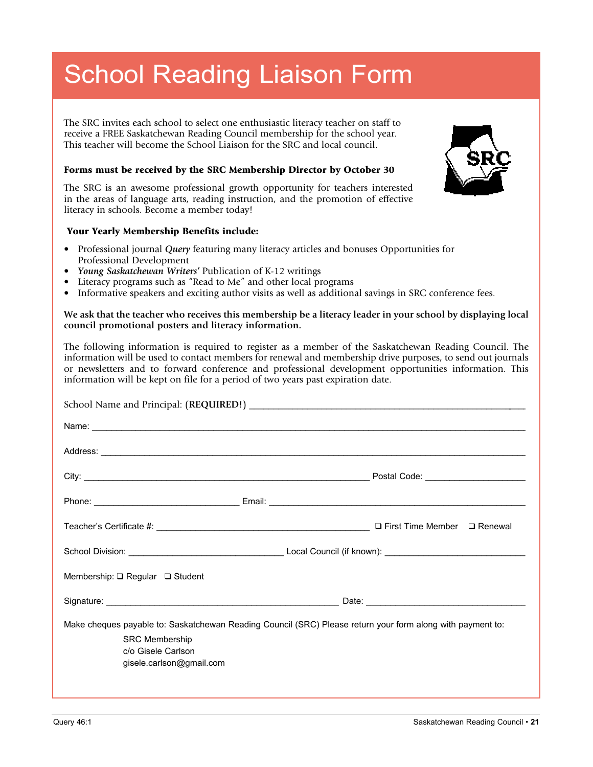# School Reading Liaison Form

The SRC invites each school to select one enthusiastic literacy teacher on staff to receive a FREE Saskatchewan Reading Council membership for the school year. This teacher will become the School Liaison for the SRC and local council.

#### Forms must be received by the SRC Membership Director by October 30

The SRC is an awesome professional growth opportunity for teachers interested in the areas of language arts, reading instruction, and the promotion of effective literacy in schools. Become a member today!

#### Your Yearly Membership Benefits include:

- Professional journal *Query* featuring many literacy articles and bonuses Opportunities for Professional Development
- *Young Saskatchewan Writers'* Publication of K-12 writings
- Literacy programs such as "Read to Me" and other local programs
- Informative speakers and exciting author visits as well as additional savings in SRC conference fees.

#### **We ask that the teacher who receives this membership be a literacy leader in your school by displaying local council promotional posters and literacy information.**

The following information is required to register as a member of the Saskatchewan Reading Council. The information will be used to contact members for renewal and membership drive purposes, to send out journals or newsletters and to forward conference and professional development opportunities information. This information will be kept on file for a period of two years past expiration date.

|                                 | Address: <u>example and contract and contract and contract and contract and contract and contract and contract and contract and contract and contract and contract and contract and contract and contract and contract and contr</u> |
|---------------------------------|--------------------------------------------------------------------------------------------------------------------------------------------------------------------------------------------------------------------------------------|
|                                 |                                                                                                                                                                                                                                      |
|                                 |                                                                                                                                                                                                                                      |
|                                 | $\Box$ First Time Member $\Box$ Renewal                                                                                                                                                                                              |
|                                 |                                                                                                                                                                                                                                      |
| Membership: Q Regular Q Student |                                                                                                                                                                                                                                      |
|                                 |                                                                                                                                                                                                                                      |
|                                 | Make cheques payable to: Saskatchewan Reading Council (SRC) Please return your form along with payment to:                                                                                                                           |
| <b>SRC Membership</b>           |                                                                                                                                                                                                                                      |
| c/o Gisele Carlson              |                                                                                                                                                                                                                                      |
| gisele.carlson@gmail.com        |                                                                                                                                                                                                                                      |
|                                 |                                                                                                                                                                                                                                      |
|                                 |                                                                                                                                                                                                                                      |

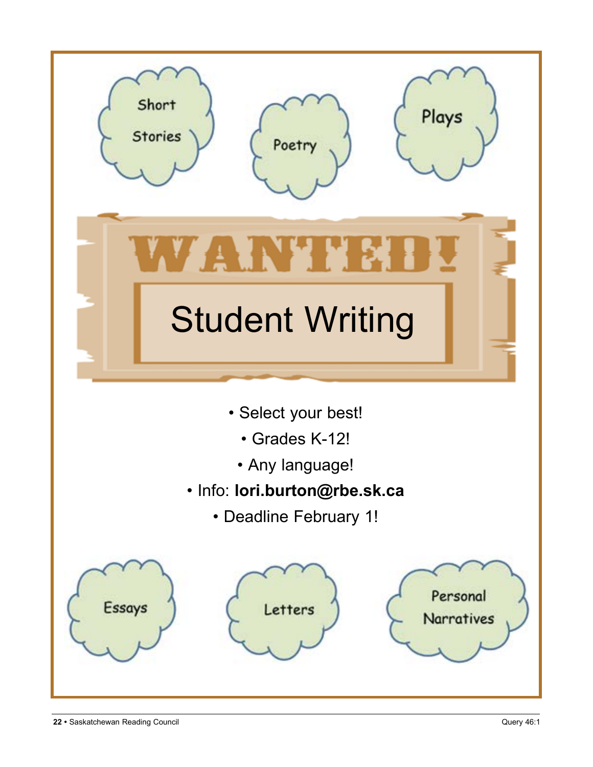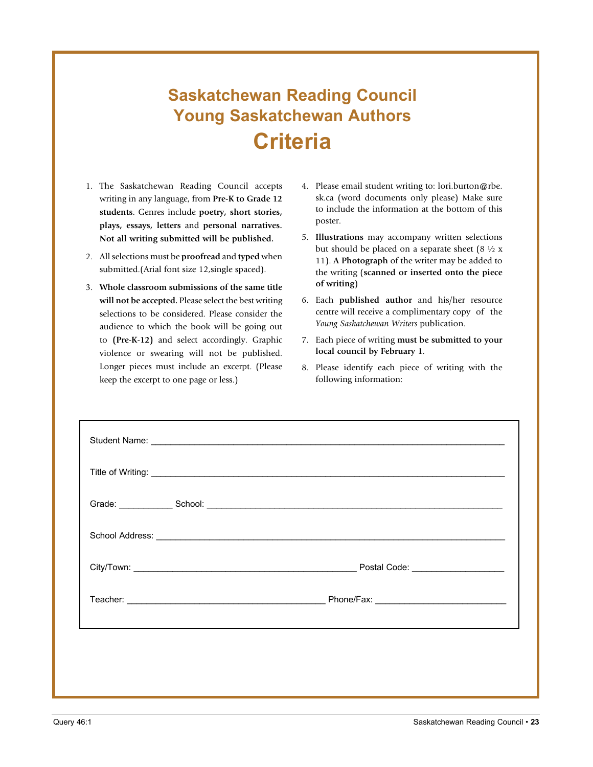# **Saskatchewan Reading Council Young Saskatchewan Authors Criteria**

- 1. The Saskatchewan Reading Council accepts writing in any language, from **Pre-K to Grade 12 students**. Genres include **poetry, short stories, plays, essays, letters** and **personal narratives. Not all writing submitted will be published.**
- 2. All selections must be **proofread** and **typed** when submitted.(Arial font size 12,single spaced).
- 3. **Whole classroom submissions of the same title will not be accepted.** Please select the best writing selections to be considered. Please consider the audience to which the book will be going out to **(Pre-K-12)** and select accordingly. Graphic violence or swearing will not be published. Longer pieces must include an excerpt. (Please keep the excerpt to one page or less.)
- 4. Please email student writing to: lori.burton@rbe. sk.ca (word documents only please) Make sure to include the information at the bottom of this poster.
- 5. **Illustrations** may accompany written selections but should be placed on a separate sheet  $(8 \frac{1}{2} \times$ 11). **A Photograph** of the writer may be added to the writing (**scanned or inserted onto the piece of writing**)
- 6. Each **published author** and his/her resource centre will receive a complimentary copy of the *Young Saskatchewan Writers* publication.
- 7. Each piece of writing **must be submitted to your local council by February 1**.
- 8. Please identify each piece of writing with the following information: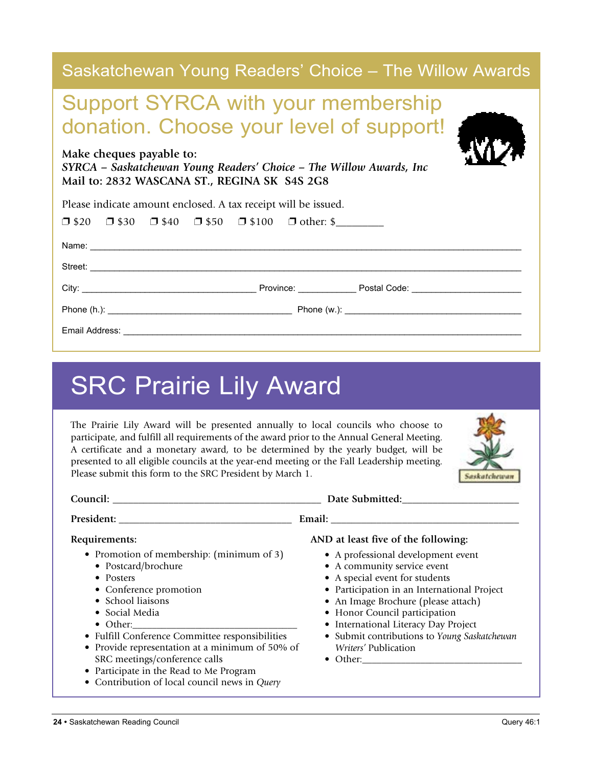| Saskatchewan Young Readers' Choice – The Willow Awards                                                                                          |  |  |  |
|-------------------------------------------------------------------------------------------------------------------------------------------------|--|--|--|
| <b>Support SYRCA with your membership</b><br>donation. Choose your level of support!                                                            |  |  |  |
| Make cheques payable to:<br>SYRCA - Saskatchewan Young Readers' Choice - The Willow Awards, Inc<br>Mail to: 2832 WASCANA ST., REGINA SK S4S 2G8 |  |  |  |
| Please indicate amount enclosed. A tax receipt will be issued.                                                                                  |  |  |  |
| $\Box$ \$20 $\Box$ \$30 $\Box$ \$40 $\Box$ \$50 $\Box$ \$100 $\Box$ other: \$                                                                   |  |  |  |
|                                                                                                                                                 |  |  |  |
|                                                                                                                                                 |  |  |  |
|                                                                                                                                                 |  |  |  |
|                                                                                                                                                 |  |  |  |
|                                                                                                                                                 |  |  |  |

# SRC Prairie Lily Award

The Prairie Lily Award will be presented annually to local councils who choose to participate, and fulfill all requirements of the award prior to the Annual General Meeting. A certificate and a monetary award, to be determined by the yearly budget, will be presented to all eligible councils at the year-end meeting or the Fall Leadership meeting. Please submit this form to the SRC President by March 1.



| Requirements:<br>AND at least five of the following:<br>• Promotion of membership: (minimum of 3)<br>• A professional development event<br>• A community service event<br>• Postcard/brochure<br>• A special event for students<br>• Posters<br>• Conference promotion<br>• Participation in an International Project<br>• School liaisons<br>• An Image Brochure (please attach)<br>• Honor Council participation<br>• Social Media<br>• International Literacy Day Project<br>$\bullet$ Other:<br>• Fulfill Conference Committee responsibilities<br>• Submit contributions to Young Saskatchewan<br>• Provide representation at a minimum of 50% of<br><i>Writers'</i> Publication<br>SRC meetings/conference calls<br>• Participate in the Read to Me Program |                                               | Date Submitted: |
|-------------------------------------------------------------------------------------------------------------------------------------------------------------------------------------------------------------------------------------------------------------------------------------------------------------------------------------------------------------------------------------------------------------------------------------------------------------------------------------------------------------------------------------------------------------------------------------------------------------------------------------------------------------------------------------------------------------------------------------------------------------------|-----------------------------------------------|-----------------|
|                                                                                                                                                                                                                                                                                                                                                                                                                                                                                                                                                                                                                                                                                                                                                                   |                                               |                 |
|                                                                                                                                                                                                                                                                                                                                                                                                                                                                                                                                                                                                                                                                                                                                                                   | • Contribution of local council news in Query |                 |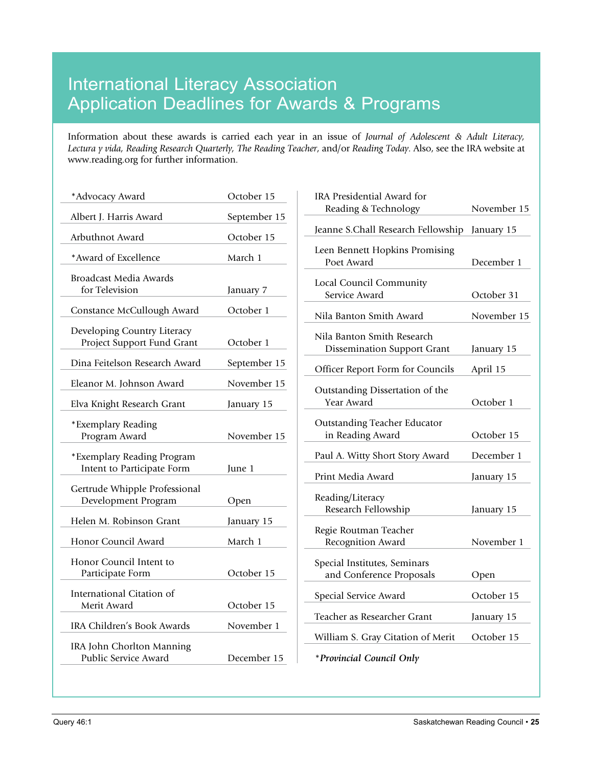### International Literacy Association Application Deadlines for Awards & Programs

Information about these awards is carried each year in an issue of *Journal of Adolescent & Adult Literacy, Lectura y vida, Reading Research Quarterly, The Reading Teacher*, and/or *Reading Today*. Also, see the IRA website at www.reading.org for further information.

| *Advocacy Award                                           | October 15   |
|-----------------------------------------------------------|--------------|
| Albert J. Harris Award                                    | September 15 |
| Arbuthnot Award                                           | October 15   |
| *Award of Excellence                                      | March 1      |
| <b>Broadcast Media Awards</b><br>for Television           | January 7    |
| Constance McCullough Award                                | October 1    |
| Developing Country Literacy<br>Project Support Fund Grant | October 1    |
| Dina Feitelson Research Award                             | September 15 |
| Eleanor M. Johnson Award                                  | November 15  |
| Elva Knight Research Grant                                | January 15   |
| *Exemplary Reading<br>Program Award                       | November 15  |
| *Exemplary Reading Program<br>Intent to Participate Form  | June 1       |
| Gertrude Whipple Professional<br>Development Program      | Open         |
| Helen M. Robinson Grant                                   | January 15   |
| Honor Council Award                                       | March 1      |
| Honor Council Intent to<br>Participate Form               | October 15   |
| International Citation of<br>Merit Award                  | October 15   |
| IRA Children's Book Awards                                | November 1   |
| IRA John Chorlton Manning<br>Public Service Award         | December 15  |
|                                                           |              |

| IRA Presidential Award for                                       |             |
|------------------------------------------------------------------|-------------|
| Reading & Technology                                             | November 15 |
| Jeanne S.Chall Research Fellowship                               | January 15  |
| Leen Bennett Hopkins Promising<br>Poet Award                     | December 1  |
| Local Council Community<br>Service Award                         | October 31  |
| Nila Banton Smith Award                                          | November 15 |
| Nila Banton Smith Research<br><b>Dissemination Support Grant</b> | January 15  |
| Officer Report Form for Councils                                 | April 15    |
| Outstanding Dissertation of the<br>Year Award                    | October 1   |
| <b>Outstanding Teacher Educator</b><br>in Reading Award          | October 15  |
| Paul A. Witty Short Story Award                                  | December 1  |
| Print Media Award                                                | January 15  |
| Reading/Literacy<br>Research Fellowship                          | January 15  |
| Regie Routman Teacher<br>Recognition Award                       | November 1  |
| Special Institutes, Seminars<br>and Conference Proposals         | Open        |
| Special Service Award                                            | October 15  |
| Teacher as Researcher Grant                                      | January 15  |
| William S. Gray Citation of Merit                                | October 15  |
| *Provincial Council Only                                         |             |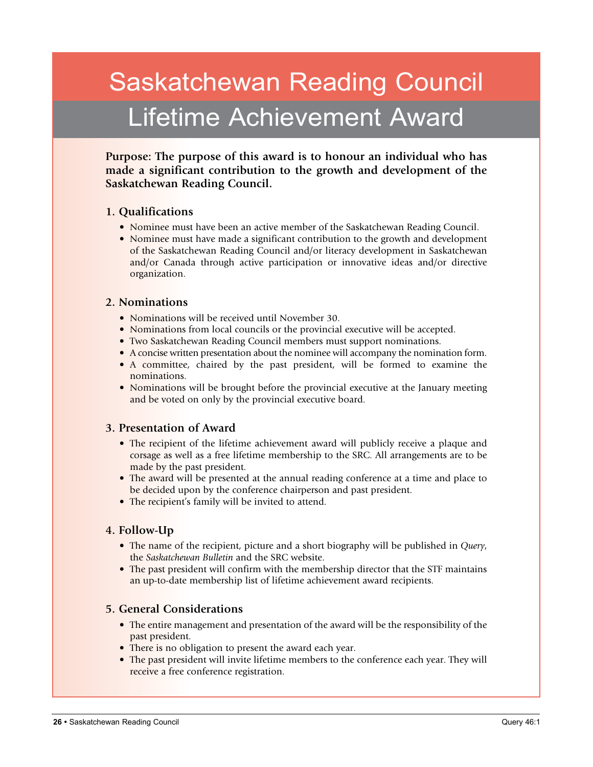# Saskatchewan Reading Council Lifetime Achievement Award

**Purpose: The purpose of this award is to honour an individual who has made a significant contribution to the growth and development of the Saskatchewan Reading Council.**

#### **1. Qualifications**

- Nominee must have been an active member of the Saskatchewan Reading Council.
- Nominee must have made a significant contribution to the growth and development of the Saskatchewan Reading Council and/or literacy development in Saskatchewan and/or Canada through active participation or innovative ideas and/or directive organization.

#### **2. Nominations**

- Nominations will be received until November 30.
- Nominations from local councils or the provincial executive will be accepted.
- Two Saskatchewan Reading Council members must support nominations.
- A concise written presentation about the nominee will accompany the nomination form.
- A committee, chaired by the past president, will be formed to examine the nominations.
- Nominations will be brought before the provincial executive at the January meeting and be voted on only by the provincial executive board.

#### **3. Presentation of Award**

- The recipient of the lifetime achievement award will publicly receive a plaque and corsage as well as a free lifetime membership to the SRC. All arrangements are to be made by the past president.
- The award will be presented at the annual reading conference at a time and place to be decided upon by the conference chairperson and past president.
- The recipient's family will be invited to attend.

#### **4. Follow-Up**

- The name of the recipient, picture and a short biography will be published in *Query*, the *Saskatchewan Bulletin* and the SRC website.
- The past president will confirm with the membership director that the STF maintains an up-to-date membership list of lifetime achievement award recipients.

#### **5. General Considerations**

- The entire management and presentation of the award will be the responsibility of the past president.
- There is no obligation to present the award each year.
- The past president will invite lifetime members to the conference each year. They will receive a free conference registration.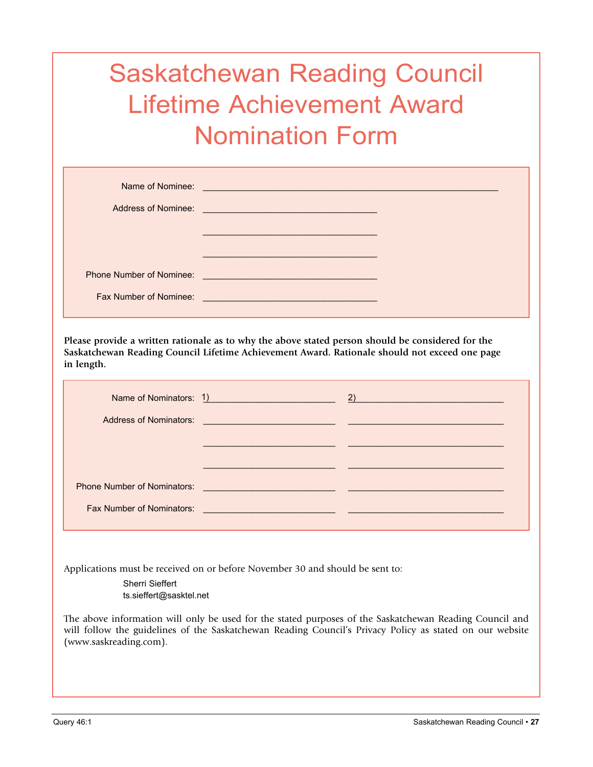# Saskatchewan Reading Council Lifetime Achievement Award Nomination Form

| Address of Nominee:                                       | <u> 1989 - Johann Barnett, fransk politiker (d. 1989)</u>                                                              |  |
|-----------------------------------------------------------|------------------------------------------------------------------------------------------------------------------------|--|
|                                                           |                                                                                                                        |  |
| <b>Phone Number of Nominee:</b><br>Fax Number of Nominee: | <u> 1989 - Johann Stein, marwolaethau (b. 1989)</u><br><u> 1989 - Johann Barn, mars an t-Amerikaansk kommunister (</u> |  |

**Please provide a written rationale as to why the above stated person should be considered for the Saskatchewan Reading Council Lifetime Achievement Award. Rationale should not exceed one page in length.**

| Name of Nominators: 1)                                                      | $\sim$ 2) and $\sim$ 2) and $\sim$ 300 $\sim$ 300 $\sim$ 300 $\sim$ 300 $\sim$ 300 $\sim$ 300 $\sim$ 300 $\sim$ 300 $\sim$ |
|-----------------------------------------------------------------------------|----------------------------------------------------------------------------------------------------------------------------|
| Address of Nominators: <u>Address of Nominators:</u> Address of Nominators: |                                                                                                                            |
|                                                                             |                                                                                                                            |
|                                                                             |                                                                                                                            |
|                                                                             |                                                                                                                            |
|                                                                             |                                                                                                                            |

Applications must be received on or before November 30 and should be sent to:

Sherri Sieffert ts.sieffert@sasktel.net

The above information will only be used for the stated purposes of the Saskatchewan Reading Council and will follow the guidelines of the Saskatchewan Reading Council's Privacy Policy as stated on our website (www.saskreading.com).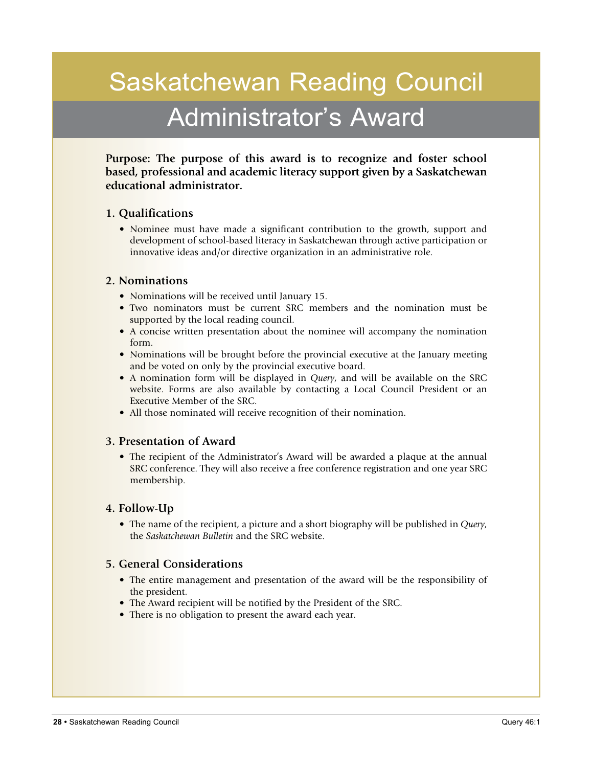# Saskatchewan Reading Council Administrator's Award

**Purpose: The purpose of this award is to recognize and foster school based, professional and academic literacy support given by a Saskatchewan educational administrator.**

#### **1. Qualifications**

• Nominee must have made a significant contribution to the growth, support and development of school-based literacy in Saskatchewan through active participation or innovative ideas and/or directive organization in an administrative role.

#### **2. Nominations**

- Nominations will be received until January 15.
- Two nominators must be current SRC members and the nomination must be supported by the local reading council.
- A concise written presentation about the nominee will accompany the nomination form.
- Nominations will be brought before the provincial executive at the January meeting and be voted on only by the provincial executive board.
- A nomination form will be displayed in *Query*, and will be available on the SRC website. Forms are also available by contacting a Local Council President or an Executive Member of the SRC.
- All those nominated will receive recognition of their nomination.

#### **3. Presentation of Award**

• The recipient of the Administrator's Award will be awarded a plaque at the annual SRC conference. They will also receive a free conference registration and one year SRC membership.

#### **4. Follow-Up**

• The name of the recipient, a picture and a short biography will be published in *Query*, the *Saskatchewan Bulletin* and the SRC website.

#### **5. General Considerations**

- The entire management and presentation of the award will be the responsibility of the president.
- The Award recipient will be notified by the President of the SRC.
- There is no obligation to present the award each year.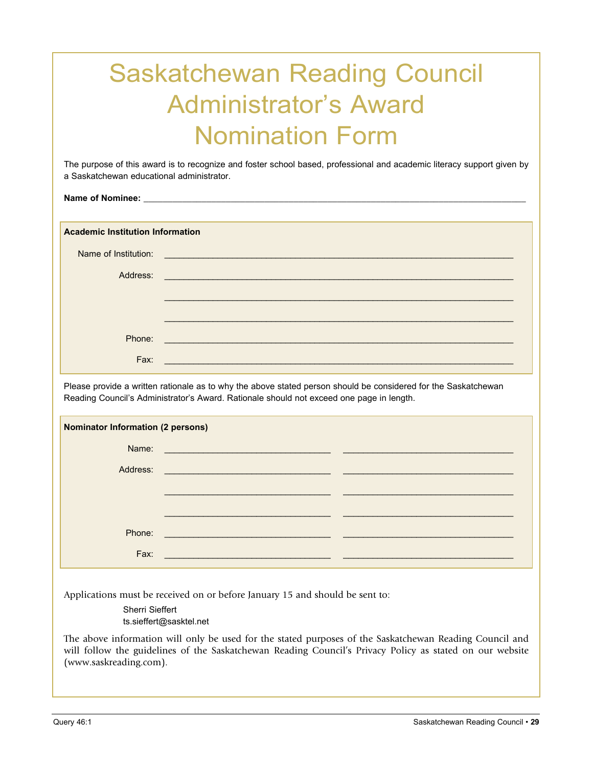# Saskatchewan Reading Council Administrator's Award Nomination Form

The purpose of this award is to recognize and foster school based, professional and academic literacy support given by a Saskatchewan educational administrator.

Name of Nominee:

**Academic Institution Information**

| Name of Institution: | <u> 1989 - Johann Stein, marwolaethau a bhann an t-Amhair an t-Amhair an t-Amhair an t-Amhair an t-Amhair an t-A</u> |
|----------------------|----------------------------------------------------------------------------------------------------------------------|
| Address:             | <u> 1989 - Johann Barnett, fransk politiker (d. 1989)</u>                                                            |
|                      |                                                                                                                      |
|                      |                                                                                                                      |
| Phone:               | <u> 1980 - Johann Stein, marwolaethau (b. 1980)</u>                                                                  |
| Fax:                 |                                                                                                                      |

Please provide a written rationale as to why the above stated person should be considered for the Saskatchewan Reading Council's Administrator's Award. Rationale should not exceed one page in length.

| <b>Nominator Information (2 persons)</b> |                                                                                                                       |  |
|------------------------------------------|-----------------------------------------------------------------------------------------------------------------------|--|
|                                          |                                                                                                                       |  |
| Address:                                 | <u> 1989 - Johann Barbara, martin da basar da basar da basar da basar da basar da basar da basar da basar da basa</u> |  |
|                                          |                                                                                                                       |  |
|                                          |                                                                                                                       |  |
| Phone:                                   |                                                                                                                       |  |
| Fax:                                     |                                                                                                                       |  |

Applications must be received on or before January 15 and should be sent to:

Sherri Sieffert ts.sieffert@sasktel.net

The above information will only be used for the stated purposes of the Saskatchewan Reading Council and will follow the guidelines of the Saskatchewan Reading Council's Privacy Policy as stated on our website (www.saskreading.com).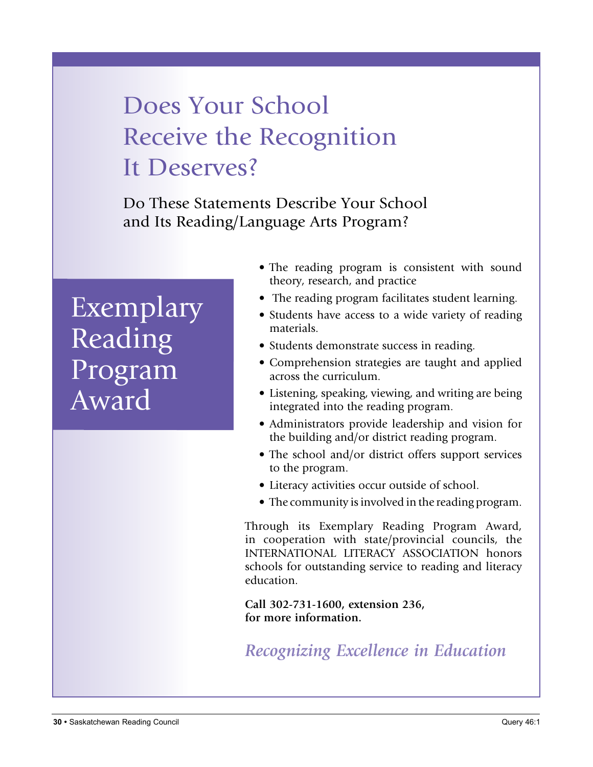# Does Your School Receive the Recognition It Deserves?

Do These Statements Describe Your School and Its Reading/Language Arts Program?

# Exemplary Reading Program Award

- The reading program is consistent with sound theory, research, and practice
- The reading program facilitates student learning.
- Students have access to a wide variety of reading materials.
- Students demonstrate success in reading.
- Comprehension strategies are taught and applied across the curriculum.
- Listening, speaking, viewing, and writing are being integrated into the reading program.
- Administrators provide leadership and vision for the building and/or district reading program.
- The school and/or district offers support services to the program.
- Literacy activities occur outside of school.
- The community is involved in the reading program.

Through its Exemplary Reading Program Award, in cooperation with state/provincial councils, the INTERNATIONAL LITERACY ASSOCIATION honors schools for outstanding service to reading and literacy education.

**Call 302-731-1600, extension 236, for more information.**

*Recognizing Excellence in Education*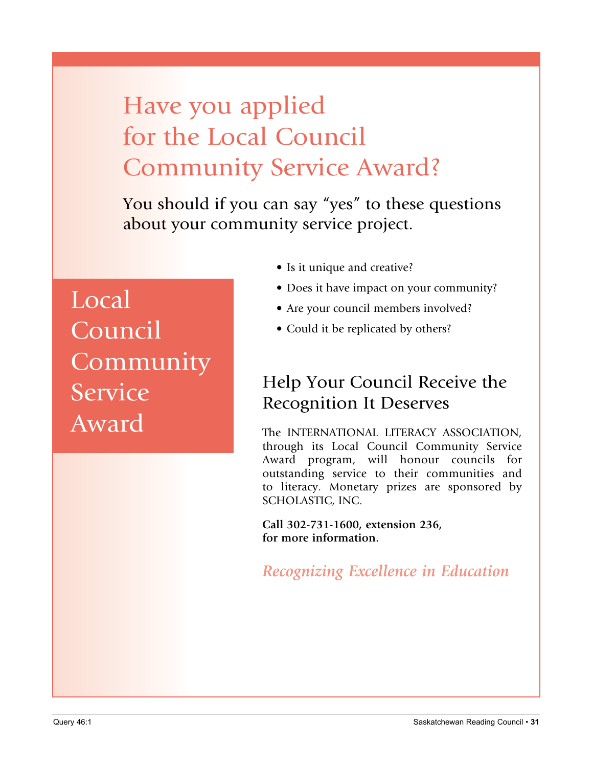# Have you applied for the Local Council Community Service Award?

You should if you can say "yes" to these questions about your community service project.

Local **Council Community Service** Award

- Is it unique and creative?
- Does it have impact on your community?
- Are your council members involved?
- Could it be replicated by others?

### Help Your Council Receive the Recognition It Deserves

The INTERNATIONAL LITERACY ASSOCIATION, through its Local Council Community Service Award program, will honour councils for outstanding service to their communities and to literacy. Monetary prizes are sponsored by SCHOLASTIC, INC.

**Call 302-731-1600, extension 236, for more information.**

*Recognizing Excellence in Education*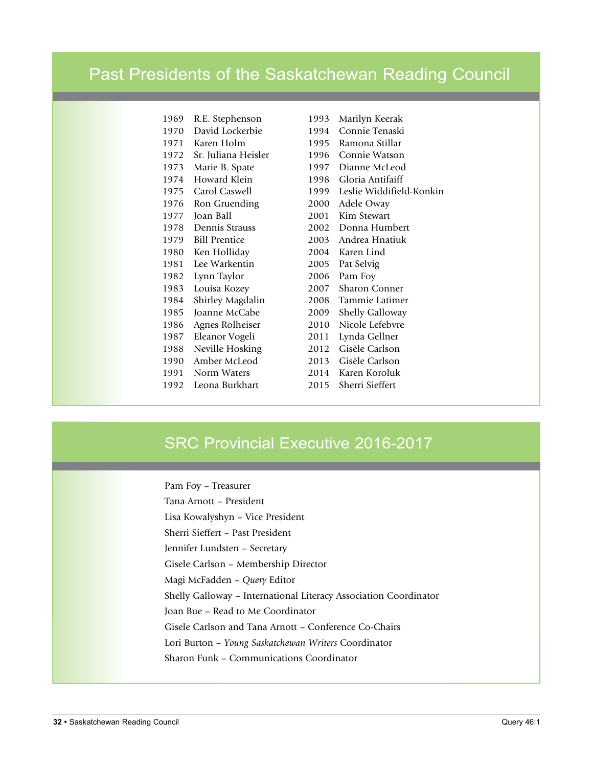### Past Presidents of the Saskatchewan Reading Council

| 1969 | R.E. Stephenson      |
|------|----------------------|
| 1970 | David Lockerbie      |
| 1971 | Karen Holm           |
| 1972 | Sr. Juliana Heisler  |
| 1973 | Marie B. Spate       |
| 1974 | Howard Klein         |
| 1975 | Carol Caswell        |
| 1976 | Ron Gruending        |
| 1977 | Joan Ball            |
| 1978 | Dennis Strauss       |
| 1979 | <b>Bill Prentice</b> |
| 1980 | Ken Holliday         |
| 1981 | Lee Warkentin        |
| 1982 | Lynn Taylor          |
| 1983 | Louisa Kozey         |
| 1984 | Shirley Magdalin     |
| 1985 | Joanne McCabe        |
| 1986 | Agnes Rolheiser      |
| 1987 | Eleanor Vogeli       |
| 1988 | Neville Hosking      |
| 1990 | Amber McLeod         |
| 1991 | Norm Waters          |
| 1992 | Leona Burkhart       |

1993 Marilyn Keerak 1994 Connie Tenaski 1995 Ramona Stillar 1996 Connie Watson 1997 Dianne McLeod 1998 Gloria Antifaiff 1999 Leslie Widdifield-Konkin 2000 Adele Oway 2001 Kim Stewart 2002 Donna Humbert 2003 Andrea Hnatiuk 2004 Karen Lind 2005 Pat Selvig 2006 Pam Foy 2007 Sharon Conner 2008 Tammie Latimer 2009 Shelly Galloway 2010 Nicole Lefebvre 2011 Lynda Gellner 2012 Gisèle Carlson 2013 Gisèle Carlson 2014 Karen Koroluk 2015 Sherri Sieffert

### SRC Provincial Executive 2016-2017

Pam Foy – Treasurer

Tana Arnott – President Lisa Kowalyshyn – Vice President Sherri Sieffert – Past President Jennifer Lundsten – Secretary Gisele Carlson – Membership Director Magi McFadden – *Query* Editor Shelly Galloway – International Literacy Association Coordinator Joan Bue – Read to Me Coordinator Gisele Carlson and Tana Arnott – Conference Co-Chairs Lori Burton – *Young Saskatchewan Writers* Coordinator Sharon Funk – Communications Coordinator